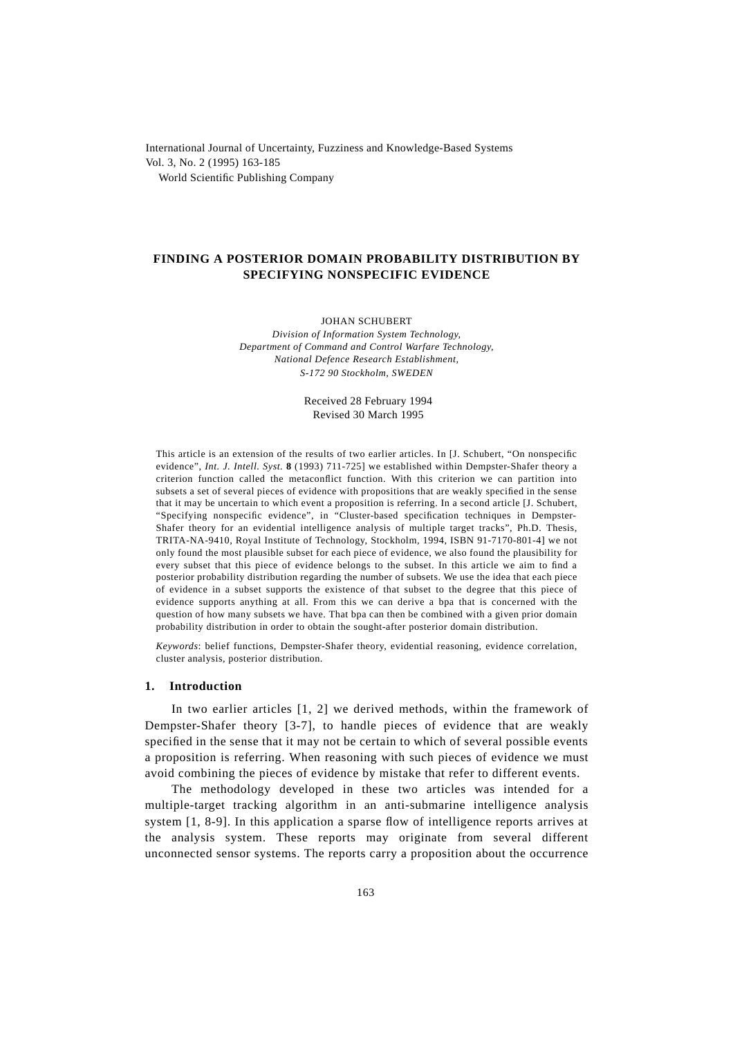International Journal of Uncertainty, Fuzziness and Knowledge-Based Systems Vol. 3, No. 2 (1995) 163-185 World Scientific Publishing Company

# **FINDING A POSTERIOR DOMAIN PROBABILITY DISTRIBUTION BY SPECIFYING NONSPECIFIC EVIDENCE**

JOHAN SCHUBERT

*Division of Information System Technology, Department of Command and Control Warfare Technology, National Defence Research Establishment, S-172 90 Stockholm, SWEDEN*

# Received 28 February 1994 Revised 30 March 1995

This article is an extension of the results of two earlier articles. In [J. Schubert, "On nonspecific evidence", *Int. J. Intell. Syst.* **8** (1993) 711-725] we established within Dempster-Shafer theory a criterion function called the metaconflict function. With this criterion we can partition into subsets a set of several pieces of evidence with propositions that are weakly specified in the sense that it may be uncertain to which event a proposition is referring. In a second article [J. Schubert, "Specifying nonspecific evidence", in "Cluster-based specification techniques in Dempster-Shafer theory for an evidential intelligence analysis of multiple target tracks", Ph.D. Thesis, TRITA-NA-9410, Royal Institute of Technology, Stockholm, 1994, ISBN 91-7170-801-4] we not only found the most plausible subset for each piece of evidence, we also found the plausibility for every subset that this piece of evidence belongs to the subset. In this article we aim to find a posterior probability distribution regarding the number of subsets. We use the idea that each piece of evidence in a subset supports the existence of that subset to the degree that this piece of evidence supports anything at all. From this we can derive a bpa that is concerned with the question of how many subsets we have. That bpa can then be combined with a given prior domain probability distribution in order to obtain the sought-after posterior domain distribution.

*Keywords*: belief functions, Dempster-Shafer theory, evidential reasoning, evidence correlation, cluster analysis, posterior distribution.

#### **1. Introduction**

In two earlier articles [1, 2] we derived methods, within the framework of Dempster-Shafer theory [3-7], to handle pieces of evidence that are weakly specified in the sense that it may not be certain to which of several possible events a proposition is referring. When reasoning with such pieces of evidence we must avoid combining the pieces of evidence by mistake that refer to different events.

The methodology developed in these two articles was intended for a multiple-target tracking algorithm in an anti-submarine intelligence analysis system [1, 8-9]. In this application a sparse flow of intelligence reports arrives at the analysis system. These reports may originate from several different unconnected sensor systems. The reports carry a proposition about the occurrence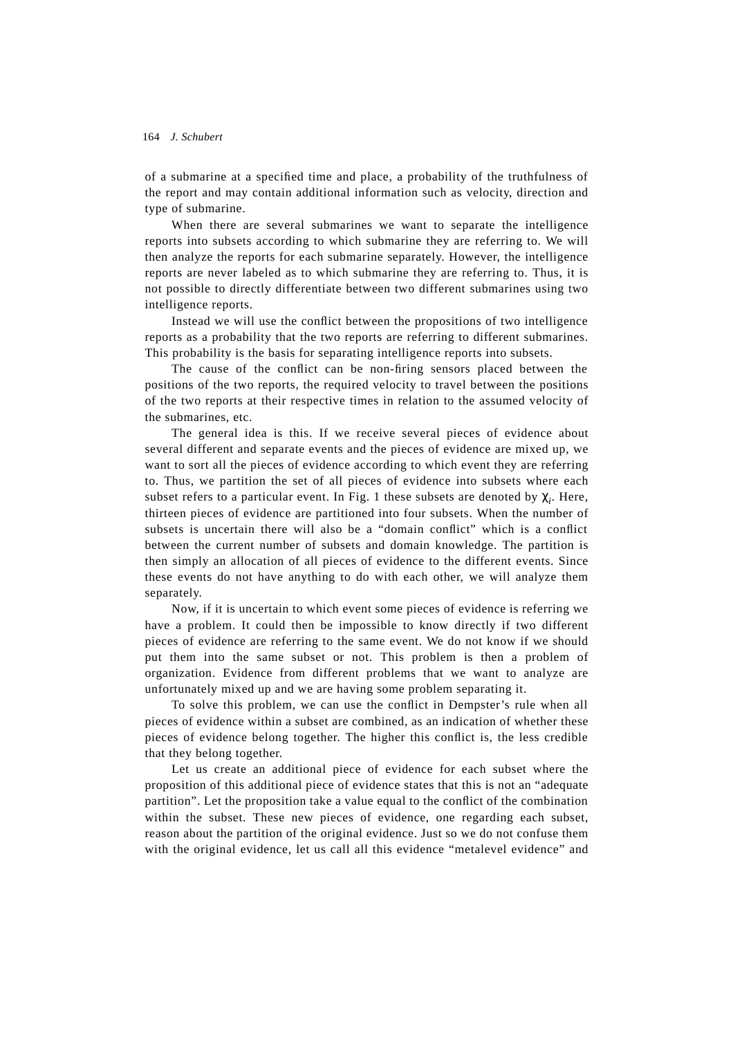of a submarine at a specified time and place, a probability of the truthfulness of the report and may contain additional information such as velocity, direction and type of submarine.

When there are several submarines we want to separate the intelligence reports into subsets according to which submarine they are referring to. We will then analyze the reports for each submarine separately. However, the intelligence reports are never labeled as to which submarine they are referring to. Thus, it is not possible to directly differentiate between two different submarines using two intelligence reports.

Instead we will use the conflict between the propositions of two intelligence reports as a probability that the two reports are referring to different submarines. This probability is the basis for separating intelligence reports into subsets.

The cause of the conflict can be non-firing sensors placed between the positions of the two reports, the required velocity to travel between the positions of the two reports at their respective times in relation to the assumed velocity of the submarines, etc.

The general idea is this. If we receive several pieces of evidence about several different and separate events and the pieces of evidence are mixed up, we want to sort all the pieces of evidence according to which event they are referring to. Thus, we partition the set of all pieces of evidence into subsets where each subset refers to a particular event. In Fig. 1 these subsets are denoted by  $\chi_i$ . Here, thirteen pieces of evidence are partitioned into four subsets. When the number of subsets is uncertain there will also be a "domain conflict" which is a conflict between the current number of subsets and domain knowledge. The partition is then simply an allocation of all pieces of evidence to the different events. Since these events do not have anything to do with each other, we will analyze them separately.

Now, if it is uncertain to which event some pieces of evidence is referring we have a problem. It could then be impossible to know directly if two different pieces of evidence are referring to the same event. We do not know if we should put them into the same subset or not. This problem is then a problem of organization. Evidence from different problems that we want to analyze are unfortunately mixed up and we are having some problem separating it.

To solve this problem, we can use the conflict in Dempster's rule when all pieces of evidence within a subset are combined, as an indication of whether these pieces of evidence belong together. The higher this conflict is, the less credible that they belong together.

Let us create an additional piece of evidence for each subset where the proposition of this additional piece of evidence states that this is not an "adequate partition". Let the proposition take a value equal to the conflict of the combination within the subset. These new pieces of evidence, one regarding each subset, reason about the partition of the original evidence. Just so we do not confuse them with the original evidence, let us call all this evidence "metalevel evidence" and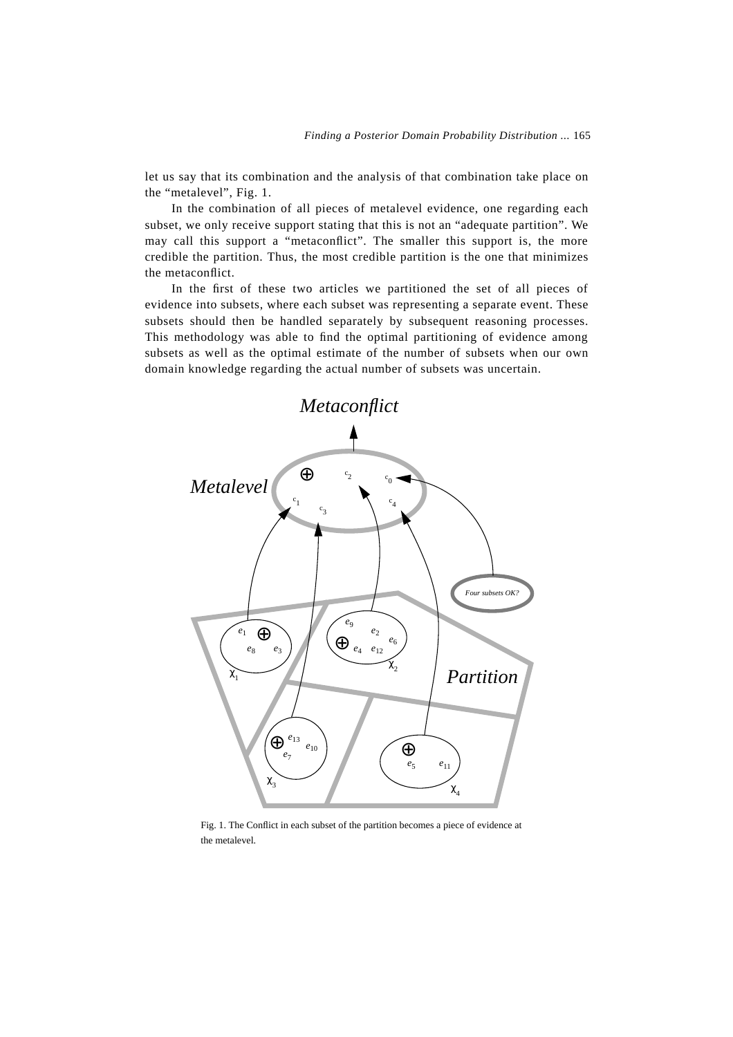let us say that its combination and the analysis of that combination take place on the "metalevel", Fig. 1.

In the combination of all pieces of metalevel evidence, one regarding each subset, we only receive support stating that this is not an "adequate partition". We may call this support a "metaconflict". The smaller this support is, the more credible the partition. Thus, the most credible partition is the one that minimizes the metaconflict.

In the first of these two articles we partitioned the set of all pieces of evidence into subsets, where each subset was representing a separate event. These subsets should then be handled separately by subsequent reasoning processes. This methodology was able to find the optimal partitioning of evidence among subsets as well as the optimal estimate of the number of subsets when our own domain knowledge regarding the actual number of subsets was uncertain.



Fig. 1. The Conflict in each subset of the partition becomes a piece of evidence at the metalevel.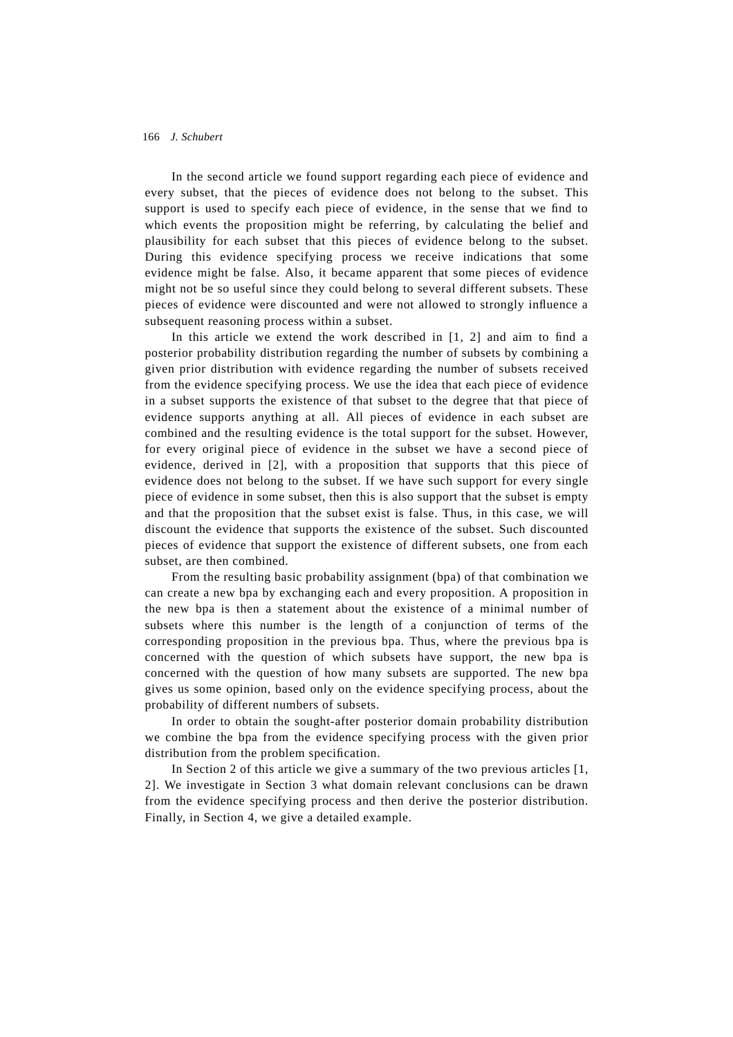In the second article we found support regarding each piece of evidence and every subset, that the pieces of evidence does not belong to the subset. This support is used to specify each piece of evidence, in the sense that we find to which events the proposition might be referring, by calculating the belief and plausibility for each subset that this pieces of evidence belong to the subset. During this evidence specifying process we receive indications that some evidence might be false. Also, it became apparent that some pieces of evidence might not be so useful since they could belong to several different subsets. These pieces of evidence were discounted and were not allowed to strongly influence a subsequent reasoning process within a subset.

In this article we extend the work described in [1, 2] and aim to find a posterior probability distribution regarding the number of subsets by combining a given prior distribution with evidence regarding the number of subsets received from the evidence specifying process. We use the idea that each piece of evidence in a subset supports the existence of that subset to the degree that that piece of evidence supports anything at all. All pieces of evidence in each subset are combined and the resulting evidence is the total support for the subset. However, for every original piece of evidence in the subset we have a second piece of evidence, derived in [2], with a proposition that supports that this piece of evidence does not belong to the subset. If we have such support for every single piece of evidence in some subset, then this is also support that the subset is empty and that the proposition that the subset exist is false. Thus, in this case, we will discount the evidence that supports the existence of the subset. Such discounted pieces of evidence that support the existence of different subsets, one from each subset, are then combined.

From the resulting basic probability assignment (bpa) of that combination we can create a new bpa by exchanging each and every proposition. A proposition in the new bpa is then a statement about the existence of a minimal number of subsets where this number is the length of a conjunction of terms of the corresponding proposition in the previous bpa. Thus, where the previous bpa is concerned with the question of which subsets have support, the new bpa is concerned with the question of how many subsets are supported. The new bpa gives us some opinion, based only on the evidence specifying process, about the probability of different numbers of subsets.

In order to obtain the sought-after posterior domain probability distribution we combine the bpa from the evidence specifying process with the given prior distribution from the problem specification.

In Section 2 of this article we give a summary of the two previous articles [1, 2]. We investigate in Section 3 what domain relevant conclusions can be drawn from the evidence specifying process and then derive the posterior distribution. Finally, in Section 4, we give a detailed example.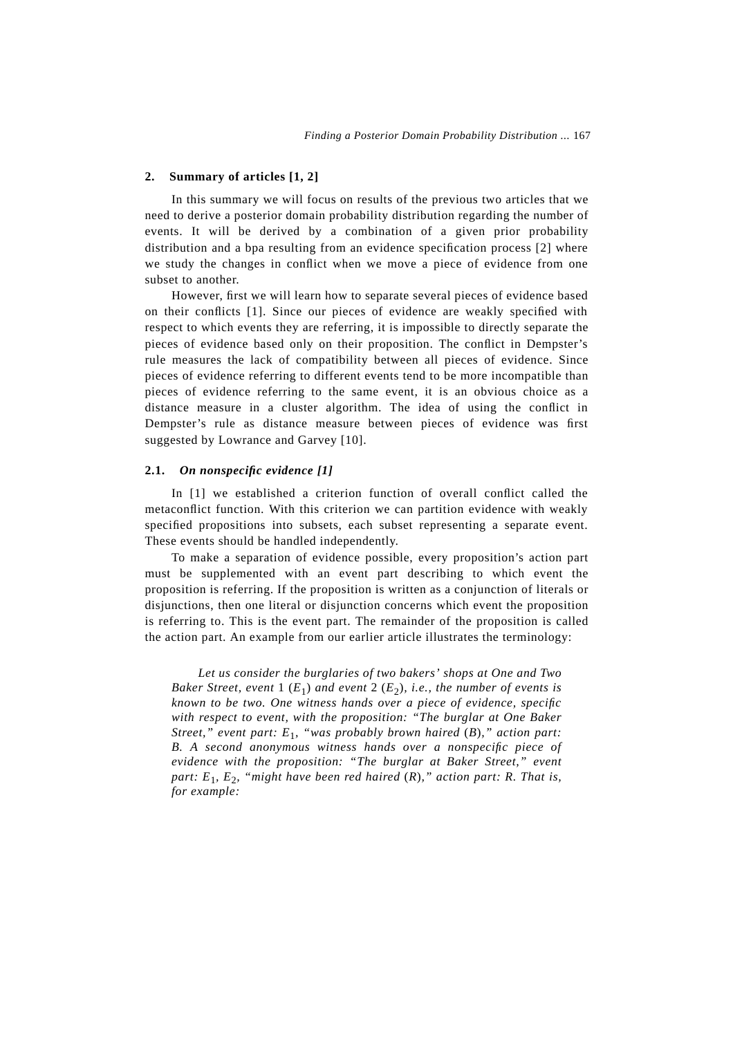## **2. Summary of articles [1, 2]**

In this summary we will focus on results of the previous two articles that we need to derive a posterior domain probability distribution regarding the number of events. It will be derived by a combination of a given prior probability distribution and a bpa resulting from an evidence specification process [2] where we study the changes in conflict when we move a piece of evidence from one subset to another.

However, first we will learn how to separate several pieces of evidence based on their conflicts [1]. Since our pieces of evidence are weakly specified with respect to which events they are referring, it is impossible to directly separate the pieces of evidence based only on their proposition. The conflict in Dempster's rule measures the lack of compatibility between all pieces of evidence. Since pieces of evidence referring to different events tend to be more incompatible than pieces of evidence referring to the same event, it is an obvious choice as a distance measure in a cluster algorithm. The idea of using the conflict in Dempster's rule as distance measure between pieces of evidence was first suggested by Lowrance and Garvey [10].

# **2.1.** *On nonspecific evidence [1]*

In [1] we established a criterion function of overall conflict called the metaconflict function. With this criterion we can partition evidence with weakly specified propositions into subsets, each subset representing a separate event. These events should be handled independently.

To make a separation of evidence possible, every proposition's action part must be supplemented with an event part describing to which event the proposition is referring. If the proposition is written as a conjunction of literals or disjunctions, then one literal or disjunction concerns which event the proposition is referring to. This is the event part. The remainder of the proposition is called the action part. An example from our earlier article illustrates the terminology:

*Let us consider the burglaries of two bakers' shops at One and Two Baker Street, event* 1  $(E_1)$  *and event* 2  $(E_2)$ *, i.e., the number of events is known to be two. One witness hands over a piece of evidence, specific with respect to event, with the proposition: "The burglar at One Baker Street," event part: E*1*, "was probably brown haired* (*B*)*," action part: B. A second anonymous witness hands over a nonspecific piece of evidence with the proposition: "The burglar at Baker Street," event part: E*1*, E*2*, "might have been red haired* (*R*)*," action part: R. That is, for example:*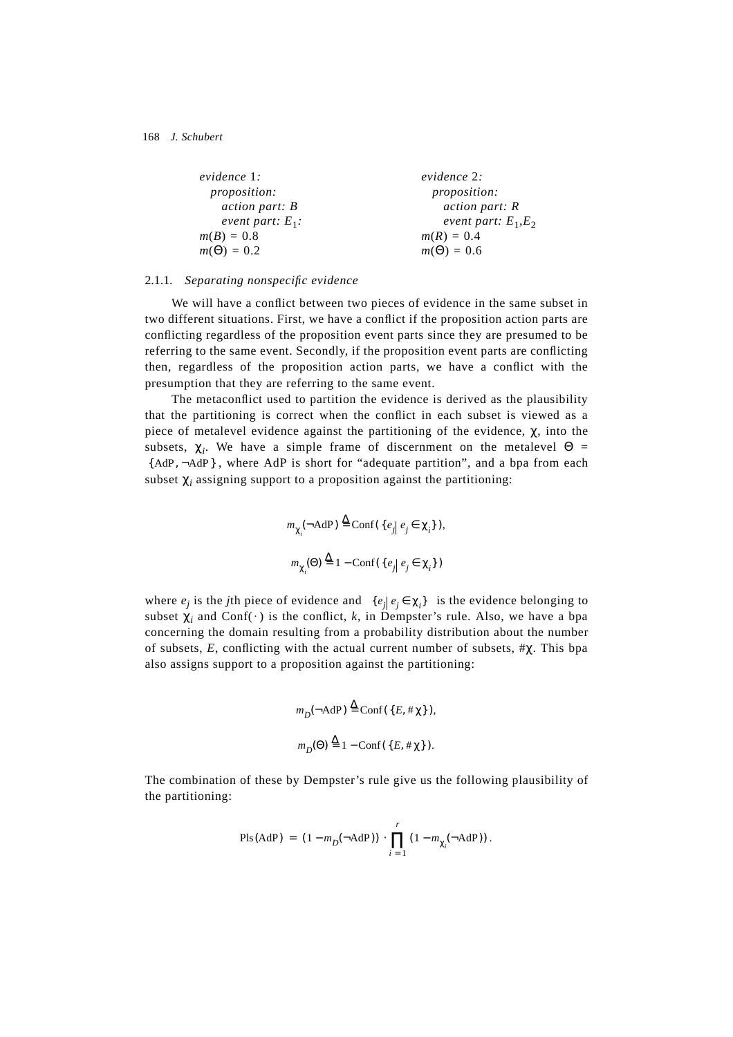| evidence 1:         | evidence 2:            |
|---------------------|------------------------|
| <i>proposition:</i> | proposition:           |
| action part: B      | <i>action part: R</i>  |
| event part: $E_1$ : | event part: $E_1, E_2$ |
| $m(B) = 0.8$        | $m(R) = 0.4$           |
| $m(\Theta) = 0.2$   | $m(\Theta) = 0.6$      |

## 2.1.1. *Separating nonspecific evidence*

We will have a conflict between two pieces of evidence in the same subset in two different situations. First, we have a conflict if the proposition action parts are conflicting regardless of the proposition event parts since they are presumed to be referring to the same event. Secondly, if the proposition event parts are conflicting then, regardless of the proposition action parts, we have a conflict with the presumption that they are referring to the same event.

The metaconflict used to partition the evidence is derived as the plausibility that the partitioning is correct when the conflict in each subset is viewed as a piece of metalevel evidence against the partitioning of the evidence,  $\chi$ , into the subsets,  $\chi_i$ . We have a simple frame of discernment on the metalevel  $\Theta$  =  ${AdP}$ ,  $\neg AdP}$ , where AdP is short for "adequate partition", and a bpa from each subset  $\chi_i$  assigning support to a proposition against the partitioning:

$$
m_{\chi_i}(\neg \text{AdP}) \stackrel{\Delta}{=} \text{Conf}(\{e_j | e_j \in \chi_i\}),
$$
  

$$
m_{\chi_i}(\Theta) \stackrel{\Delta}{=} 1 - \text{Conf}(\{e_j | e_j \in \chi_i\})
$$

where  $e_j$  is the *j*th piece of evidence and  $\{e_j | e_j \in \chi_i\}$  is the evidence belonging to subset  $\chi_i$  and Conf( $\cdot$ ) is the conflict, k, in Dempster's rule. Also, we have a bpa concerning the domain resulting from a probability distribution about the number of subsets, *E*, conflicting with the actual current number of subsets, #χ. This bpa also assigns support to a proposition against the partitioning:

$$
m_D(\neg \text{AdP}) \stackrel{\Delta}{=} \text{Conf}(\{E, \#\chi\}),
$$
  

$$
m_D(\Theta) \stackrel{\Delta}{=} 1 - \text{Conf}(\{E, \#\chi\}).
$$

The combination of these by Dempster's rule give us the following plausibility of the partitioning:

$$
\text{Pls}(\text{AdP}) = (1 - m_D(\neg \text{AdP})) \cdot \prod_{i=1}^r (1 - m_{\chi_i}(\neg \text{AdP})) \, .
$$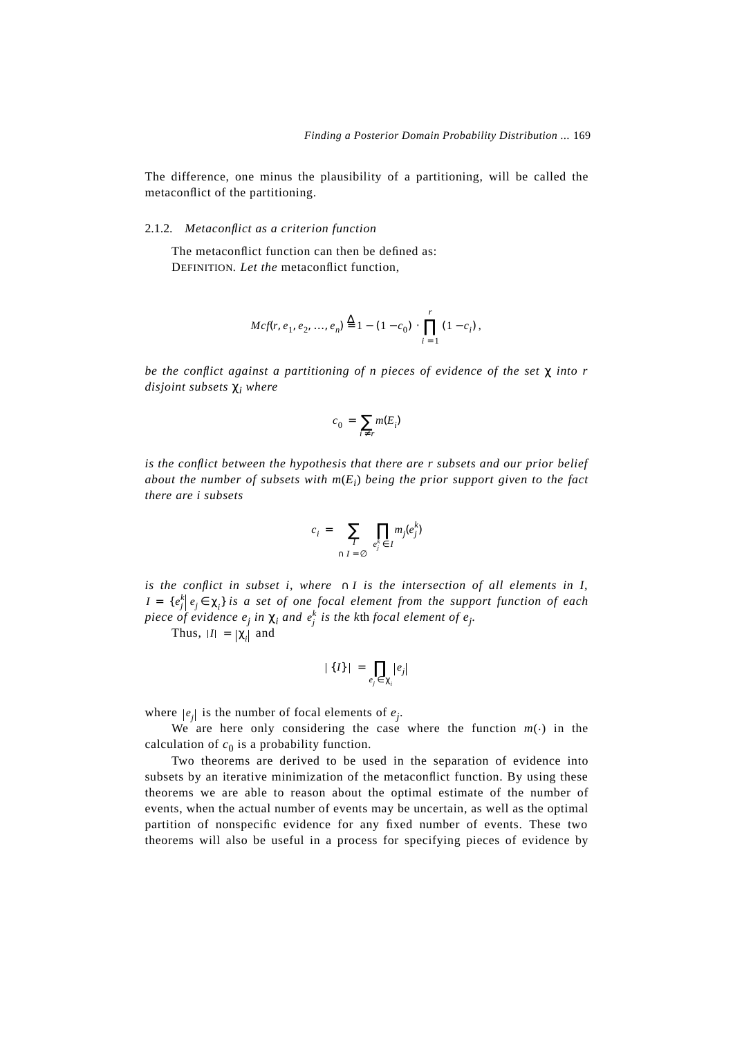The difference, one minus the plausibility of a partitioning, will be called the metaconflict of the partitioning.

## 2.1.2. *Metaconflict as a criterion function*

The metaconflict function can then be defined as: DEFINITION*. Let the* metaconflict function,

$$
Mcf(r, e_1, e_2, ..., e_n) \stackrel{\Delta}{=} 1 - (1 - c_0) \cdot \prod_{i=1}^r (1 - c_i),
$$

*be the conflict against a partitioning of n pieces of evidence of the set* χ *into r disjoint subsets* χ*i where*

$$
c_0 = \sum_{i\neq r} m(E_i)
$$

*is the conflict between the hypothesis that there are r subsets and our prior belief about the number of subsets with m*(*Ei*) *being the prior support given to the fact there are i subsets*

$$
c_i = \sum_{\substack{I \\ \cap I = \emptyset}} \prod_{\substack{e_j^k \in I \\ \emptyset \neq i}} m_j(e_j^k)
$$

*is the conflict in subset i, where*  $\cap$ *I is the intersection of all elements in I, i*  $I = \{e_j^k | e_j \in \chi_i\}$  *is a set of one focal element from the support function of each piece of evidence*  $e_j$  *in*  $\chi_i$  *and*  $e_j^k$  *is the kth focal element of*  $e_j$ *.* 

Thus,  $|I| = |\chi_i|$  and

$$
|\{I\}| = \prod_{e_j \in \chi_i} |e_j|
$$

where  $|e_j|$  is the number of focal elements of  $e_j$ .

We are here only considering the case where the function  $m(\cdot)$  in the calculation of  $c_0$  is a probability function.

Two theorems are derived to be used in the separation of evidence into subsets by an iterative minimization of the metaconflict function. By using these theorems we are able to reason about the optimal estimate of the number of events, when the actual number of events may be uncertain, as well as the optimal partition of nonspecific evidence for any fixed number of events. These two theorems will also be useful in a process for specifying pieces of evidence by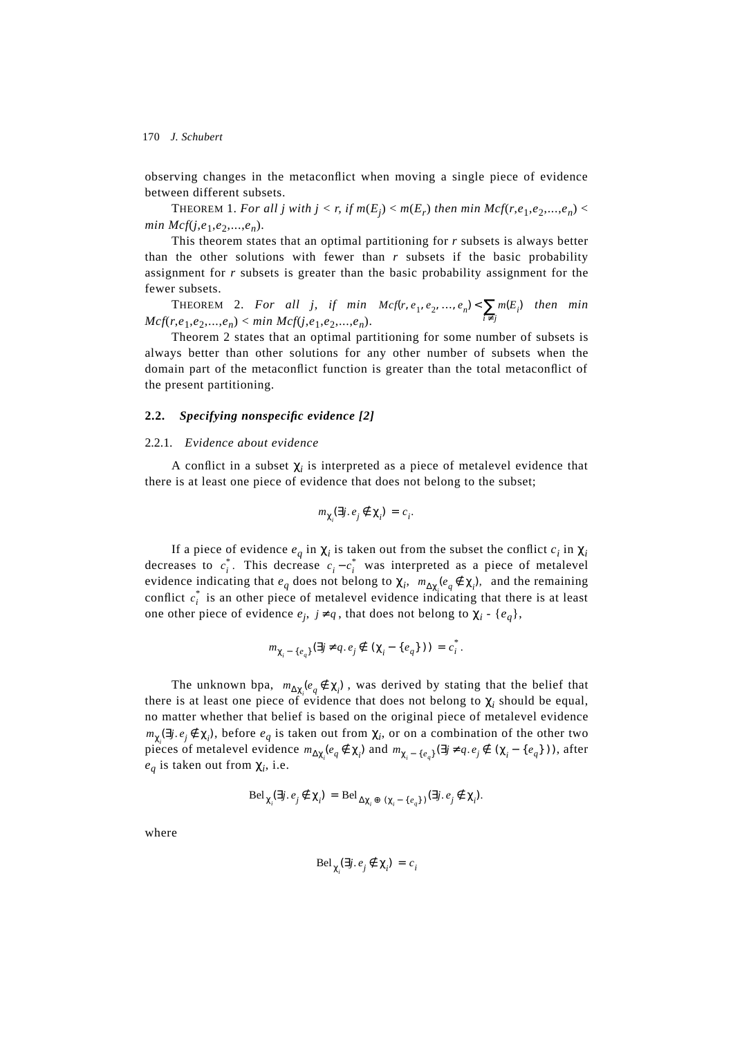observing changes in the metaconflict when moving a single piece of evidence between different subsets.

THEOREM 1. For all j with  $j < r$ , if  $m(E_i) < m(E_r)$  then min  $Mcf(r, e_1, e_2, \ldots, e_n) <$ *min*  $Mcf(j, e_1, e_2, \ldots, e_n)$ .

This theorem states that an optimal partitioning for *r* subsets is always better than the other solutions with fewer than *r* subsets if the basic probability assignment for *r* subsets is greater than the basic probability assignment for the fewer subsets.

**THEOREM** 2. For all j, if min  $Mcf(r, e_1, e_2, ..., e_n) < \sum m(E_i)$  then min  $Mcf(r, e_1, e_2, \ldots, e_n) < min Mcf(j, e_1, e_2, \ldots, e_n).$  $Mcf(r, e_1, e_2, ..., e_n) < \sum_{i \neq j} m(E_i)$ 

Theorem 2 states that an optimal partitioning for some number of subsets is always better than other solutions for any other number of subsets when the domain part of the metaconflict function is greater than the total metaconflict of the present partitioning.

# **2.2.** *Specifying nonspecific evidence [2]*

## 2.2.1. *Evidence about evidence*

A conflict in a subset  $\chi_i$  is interpreted as a piece of metalevel evidence that there is at least one piece of evidence that does not belong to the subset;

$$
m_{\chi_i}(\exists j. e_j \notin \chi_i) = c_i.
$$

If a piece of evidence  $e_q$  in  $\chi_i$  is taken out from the subset the conflict  $c_i$  in  $\chi_i$ decreases to  $c_i^*$ . This decrease  $c_i - c_i^*$  was interpreted as a piece of metalevel evidence indicating that  $e_q$  does not belong to  $\chi_i$ ,  $m_{\Delta \chi_i}(e_q \notin \chi_i)$ , and the remaining conflict  $c_i^*$  is an other piece of metalevel evidence indicating that there is at least one other piece of evidence  $e_j$ ,  $j \neq q$ , that does not belong to  $\chi_i$  -  $\{e_q\}$ ,

$$
m_{\chi_i - \{e_q\}}(\exists j \neq q, e_j \notin \left(\chi_i - \{e_q\}\right)) = c_i^*.
$$

The unknown bpa,  $m_{\Delta \chi_i}(e_q \notin \chi_i)$ , was derived by stating that the belief that there is at least one piece of evidence that does not belong to  $\chi_i$  should be equal, no matter whether that belief is based on the original piece of metalevel evidence  $m_{\chi_i}(\exists j \cdot e_j \notin \chi_i)$ , before  $e_q$  is taken out from  $\chi_i$ , or on a combination of the other two pieces of metalevel evidence  $m_{\Delta \chi_i}(e_q \notin \chi_i)$  and  $m_{\chi_i - \{e_q\}}(\exists j \neq q, e_j \notin (\chi_i - \{e_q\})$ ), after  $e_q$  is taken out from  $\chi_i$ , i.e.

$$
\mathrm{Bel}_{\chi_i}(\exists j. e_j \notin \chi_i) = \mathrm{Bel}_{\Delta \chi_i \oplus (\chi_i - \{e_q\})}(\exists j. e_j \notin \chi_i).
$$

where

$$
\mathrm{Bel}_{\chi_i}(\exists j.\, e_j \notin \chi_i) \,=\, c_i
$$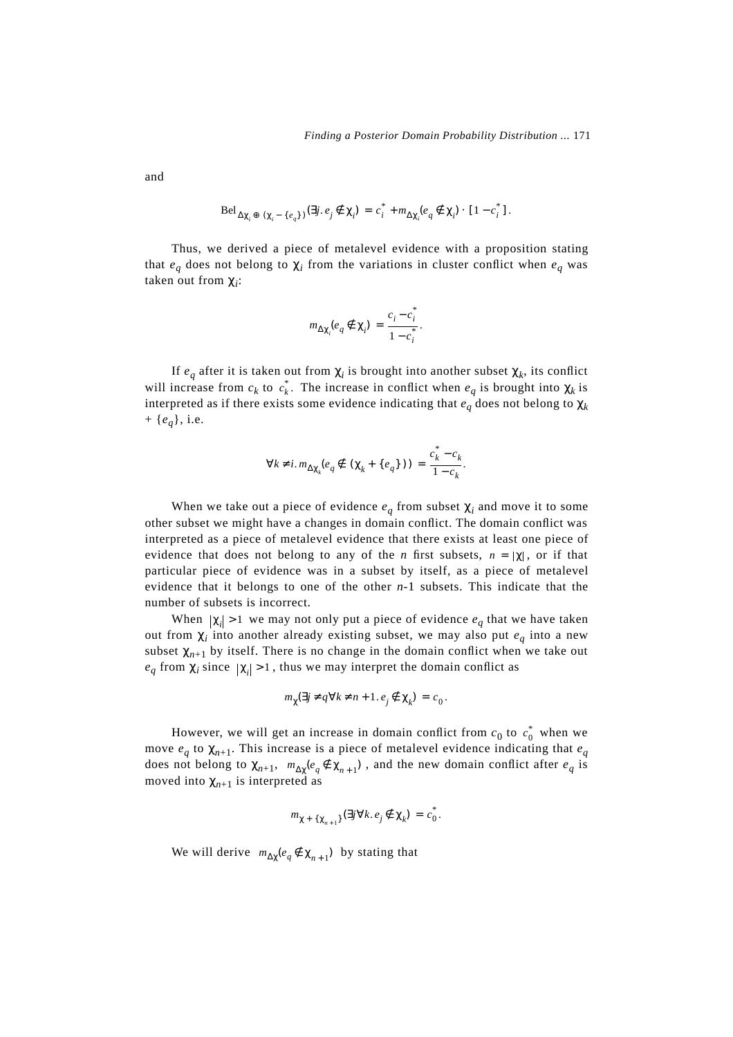$$
\mathrm{Bel}_{\Delta \chi_i \oplus (\chi_i - \{e_q\})}(\exists j. e_j \notin \chi_i) = c_i^* + m_{\Delta \chi_i}(e_q \notin \chi_i) \cdot [1 - c_i^*].
$$

Thus, we derived a piece of metalevel evidence with a proposition stating that  $e_q$  does not belong to  $\chi_i$  from the variations in cluster conflict when  $e_q$  was taken out from χ*i*:

$$
m_{\Delta \chi_i}(e_q \notin \chi_i) = \frac{c_i - c_i^*}{1 - c_i^*}.
$$

If  $e_q$  after it is taken out from  $\chi_i$  is brought into another subset  $\chi_k$ , its conflict will increase from  $c_k$  to  $c_k^*$ . The increase in conflict when  $e_q$  is brought into  $\chi_k$  is interpreted as if there exists some evidence indicating that  $e_q$  does not belong to  $\chi_k$ + { $e_q$ }, i.e.

$$
\forall k \neq i \ldotp m_{\Delta \chi_k} (e_q \notin \left( \chi_k + \{e_q\} \right)) = \frac{c_k^* - c_k}{1 - c_k}.
$$

When we take out a piece of evidence  $e_q$  from subset  $\chi_i$  and move it to some other subset we might have a changes in domain conflict. The domain conflict was interpreted as a piece of metalevel evidence that there exists at least one piece of evidence that does not belong to any of the *n* first subsets,  $n = |\chi|$ , or if that particular piece of evidence was in a subset by itself, as a piece of metalevel evidence that it belongs to one of the other *n*-1 subsets. This indicate that the number of subsets is incorrect.

When  $|\chi_i| > 1$  we may not only put a piece of evidence  $e_q$  that we have taken out from  $\chi_i$  into another already existing subset, we may also put  $e_q$  into a new subset  $\chi_{n+1}$  by itself. There is no change in the domain conflict when we take out  $e_q$  from  $\chi_i$  since  $|\chi_i| > 1$ , thus we may interpret the domain conflict as

$$
m_{\chi}(\exists j \neq q \forall k \neq n+1, e_j \notin \chi_k) = c_0.
$$

However, we will get an increase in domain conflict from  $c_0$  to  $c_0^*$  when we move  $e_q$  to  $\chi_{n+1}$ . This increase is a piece of metalevel evidence indicating that  $e_q$ does not belong to  $\chi_{n+1}$ ,  $m_{\Delta \chi} (e_q \notin \chi_{n+1})$ , and the new domain conflict after  $e_q$  is moved into  $\chi_{n+1}$  is interpreted as

$$
m_{\chi + {\{\chi_{n+1}\}}}(\exists j \forall k. e_j \notin \chi_k) = c_0^*.
$$

We will derive  $m_{\Delta \chi} (e_q \notin \chi_{n+1})$  by stating that

and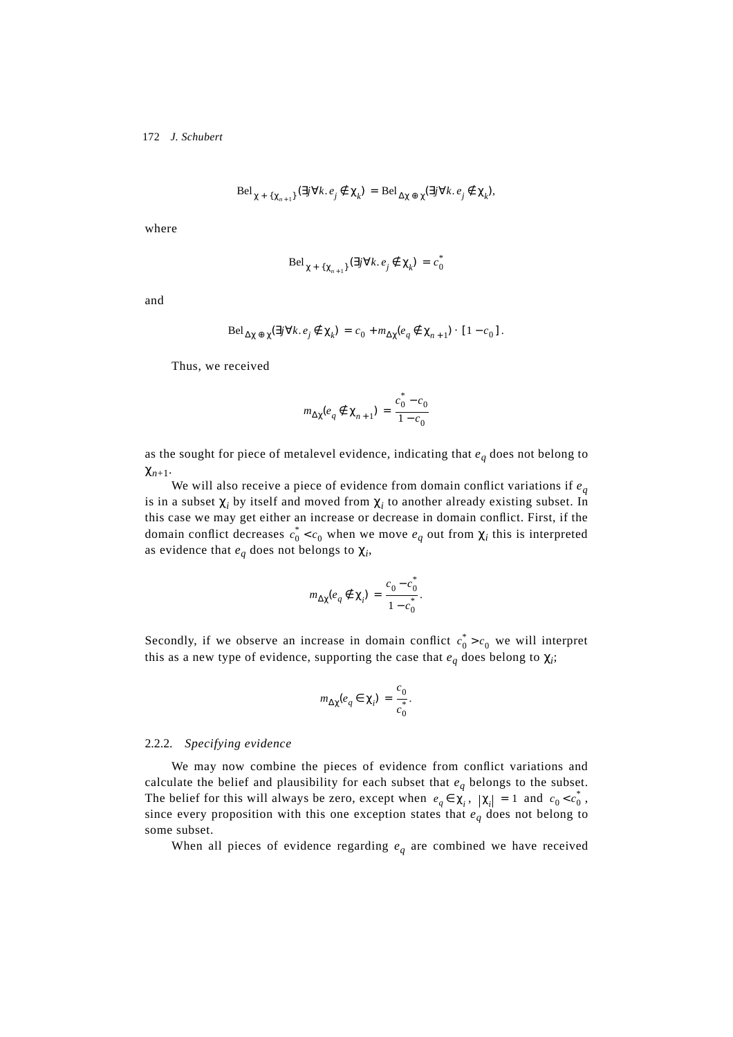$$
\mathrm{Bel}_{\chi + {\{\chi_{n+1}\}}}(\exists j \forall k.\, e_j \notin \chi_k) = \mathrm{Bel}_{\Delta \chi \oplus \chi}(\exists j \forall k.\, e_j \notin \chi_k),
$$

where

$$
\text{Bel}_{\chi + \{\chi_{n+1}\}}(\exists j \forall k. e_j \notin \chi_k) = c_0^*
$$

and

$$
\text{Bel}_{\Delta \chi \oplus \chi}(\exists j \forall k. e_j \notin \chi_k) = c_0 + m_{\Delta \chi}(e_q \notin \chi_{n+1}) \cdot [1 - c_0].
$$

Thus, we received

$$
m_{\Delta \chi} (e_q \notin \chi_{n+1}) = \frac{c_0^* - c_0}{1 - c_0}
$$

as the sought for piece of metalevel evidence, indicating that *eq* does not belong to  $\chi_{n+1}$ .

We will also receive a piece of evidence from domain conflict variations if  $e_q$ is in a subset  $\chi_i$  by itself and moved from  $\chi_i$  to another already existing subset. In this case we may get either an increase or decrease in domain conflict. First, if the domain conflict decreases  $c_0^* < c_0$  when we move  $e_q$  out from  $\chi_i$  this is interpreted as evidence that  $e_q$  does not belongs to  $\chi_i$ ,

$$
m_{\Delta\chi}(e_q \notin \chi_i) = \frac{c_0 - c_0^*}{1 - c_0^*}.
$$

Secondly, if we observe an increase in domain conflict  $c_0^* > c_0$  we will interpret this as a new type of evidence, supporting the case that  $e_q$  does belong to  $\chi_i$ ;

$$
m_{\Delta\chi}(e_q \in \chi_i) = \frac{c_0}{c_0^*}.
$$

### 2.2.2. *Specifying evidence*

We may now combine the pieces of evidence from conflict variations and calculate the belief and plausibility for each subset that *eq* belongs to the subset. The belief for this will always be zero, except when  $e_a \in \chi_i$ ,  $|\chi_i| = 1$  and  $c_0 < c_0^*$ , since every proposition with this one exception states that *eq* does not belong to some subset.  $e_q \in \chi_i^{\prime}$ ,  $|\chi_i| = 1$  and  $c_0 < c_0^*$ 

When all pieces of evidence regarding  $e_q$  are combined we have received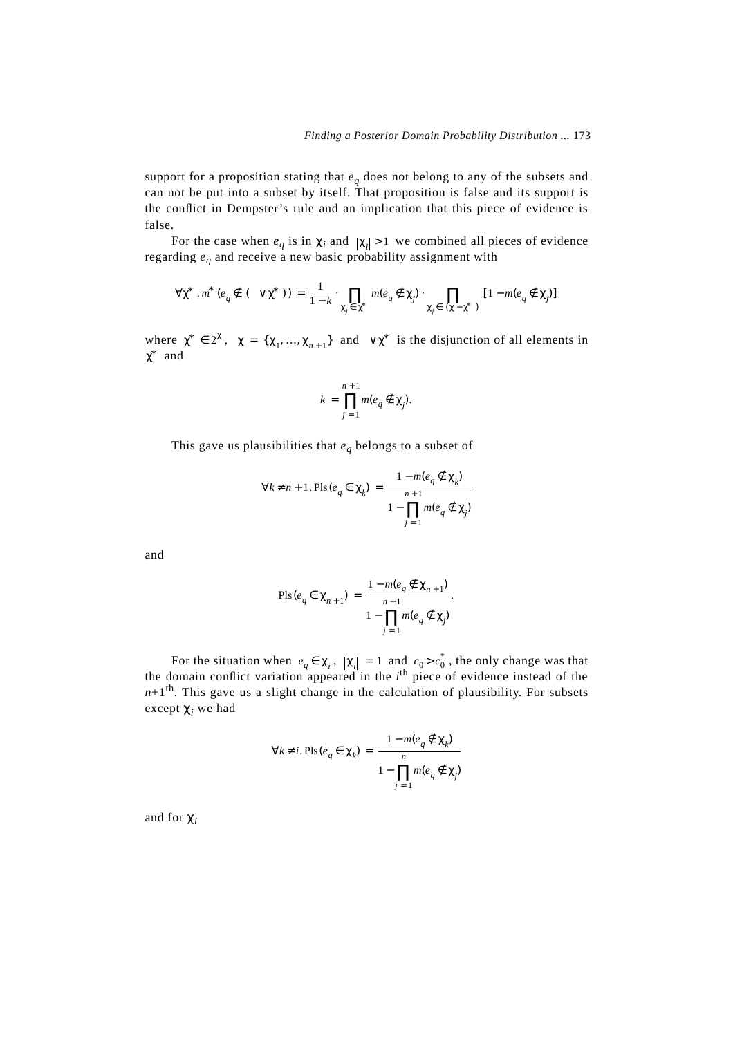support for a proposition stating that  $e_q$  does not belong to any of the subsets and can not be put into a subset by itself. That proposition is false and its support is the conflict in Dempster's rule and an implication that this piece of evidence is false.

For the case when  $e_q$  is in  $\chi_i$  and  $|\chi_i| > 1$  we combined all pieces of evidence regarding *eq* and receive a new basic probability assignment with

$$
\forall \chi^* \cdot m^* \left( e_q \notin (\sqrt{\chi^*}) \right) = \frac{1}{1-k} \cdot \prod_{\chi_j \in \chi^*} m(e_q \notin \chi_j) \cdot \prod_{\chi_j \in (\chi - \chi^*)} [1 - m(e_q \notin \chi_j)]
$$

where  $\chi^* \in 2^{\chi}$ ,  $\chi = {\chi_1, ..., \chi_{n+1}}$  and  $\vee \chi^*$  is the disjunction of all elements in and χ\*

$$
k = \prod_{j=1}^{n+1} m(e_q \notin \chi_j).
$$

This gave us plausibilities that *eq* belongs to a subset of

$$
\forall k \neq n+1. \text{PIs}(e_q \in \chi_k) = \frac{1 - m(e_q \notin \chi_k)}{1 - \prod_{j=1}^{n+1} m(e_q \notin \chi_j)}
$$

and

$$
\text{Pls}(e_q \in \chi_{n+1}) = \frac{1 - m(e_q \notin \chi_{n+1})}{1 - \prod_{j=1}^{n+1} m(e_q \notin \chi_j)}.
$$

For the situation when  $e_a \in \chi_i$ ,  $|\chi_i| = 1$  and  $c_0 > c_0^*$ , the only change was that the domain conflict variation appeared in the  $i<sup>th</sup>$  piece of evidence instead of the  $n+1$ <sup>th</sup>. This gave us a slight change in the calculation of plausibility. For subsets except χ*i* we had  $e_q \in \chi_i$ ,  $|\chi_i| = 1$  and  $c_0 > c_0^*$ 

$$
\forall k \neq i. \text{ Pls}(e_q \in \chi_k) = \frac{1 - m(e_q \notin \chi_k)}{1 - \prod_{j=1}^{n} m(e_q \notin \chi_j)}
$$

and for χ*<sup>i</sup>*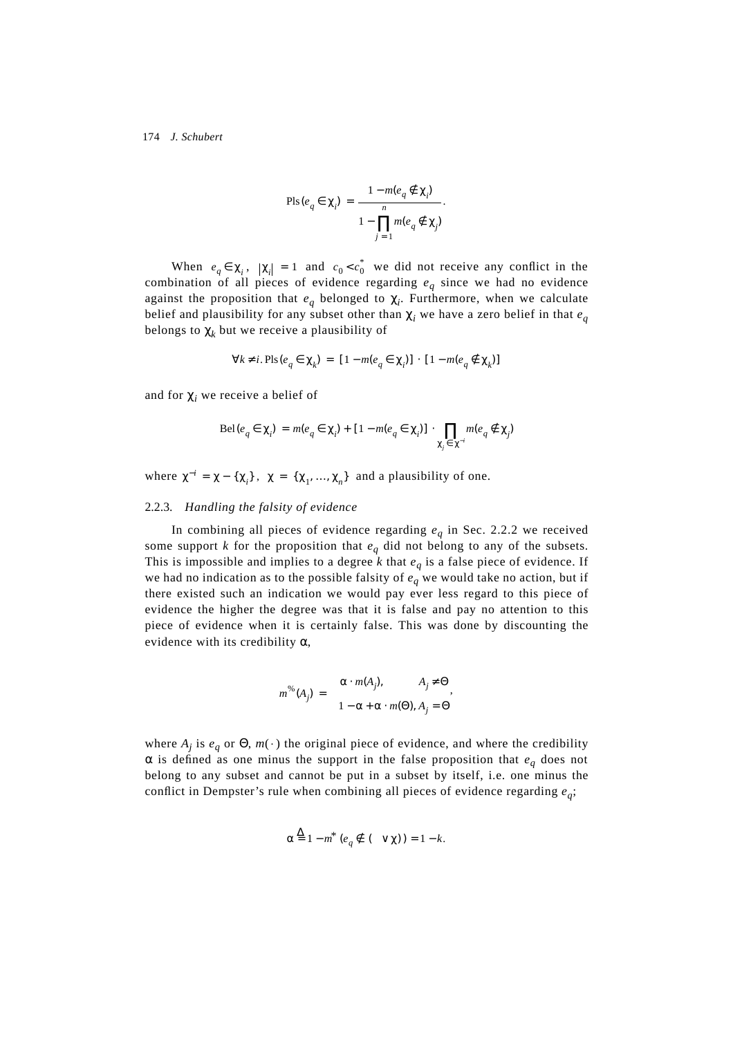$$
\text{Pls}(e_q \in \chi_i) = \frac{1 - m(e_q \notin \chi_i)}{1 - \prod_{j=1}^{n} m(e_q \notin \chi_j)}.
$$

When  $e_a \in \chi_i$ ,  $|\chi_i| = 1$  and  $c_0 < c_0^*$  we did not receive any conflict in the combination of all pieces of evidence regarding *eq* since we had no evidence against the proposition that  $e_q$  belonged to  $\chi_i$ . Furthermore, when we calculate belief and plausibility for any subset other than  $\chi_i$  we have a zero belief in that  $e_q$ belongs to  $\chi_k$  but we receive a plausibility of  $e_q \in \chi_i$ ,  $|\chi_i| = 1$  and  $c_0 < c_0^*$ 

$$
\forall k \neq i. \text{ Pls}(e_q \in \chi_k) = [1 - m(e_q \in \chi_i)] \cdot [1 - m(e_q \notin \chi_k)]
$$

and for  $\chi_i$  we receive a belief of

$$
\text{Bel}(e_q \in \chi_i) = m(e_q \in \chi_i) + [1 - m(e_q \in \chi_i)] \cdot \prod_{\chi_j \in \chi^{-i}} m(e_q \notin \chi_j)
$$

where  $\chi^{-i} = \chi - {\chi_i}$ ,  $\chi = {\chi_1, ..., \chi_n}$  and a plausibility of one.

# 2.2.3. *Handling the falsity of evidence*

In combining all pieces of evidence regarding  $e_q$  in Sec. 2.2.2 we received some support  $k$  for the proposition that  $e_q$  did not belong to any of the subsets. This is impossible and implies to a degree  $k$  that  $e_q$  is a false piece of evidence. If we had no indication as to the possible falsity of  $e_q$  we would take no action, but if there existed such an indication we would pay ever less regard to this piece of evidence the higher the degree was that it is false and pay no attention to this piece of evidence when it is certainly false. This was done by discounting the evidence with its credibility  $\alpha$ ,

$$
m^{\%}(A_j) = \begin{cases} \alpha \cdot m(A_j), & A_j \neq \Theta, \\ 1 - \alpha + \alpha \cdot m(\Theta), A_j = \Theta \end{cases}
$$

where  $A_j$  is  $e_q$  or  $\Theta$ ,  $m(\cdot)$  the original piece of evidence, and where the credibility  $\alpha$  is defined as one minus the support in the false proposition that  $e_q$  does not belong to any subset and cannot be put in a subset by itself, i.e. one minus the conflict in Dempster's rule when combining all pieces of evidence regarding  $e_q$ ;

$$
\alpha \stackrel{\Delta}{=} 1 - m^* \left( e_q \notin ( \vee \chi) \right) = 1 - k.
$$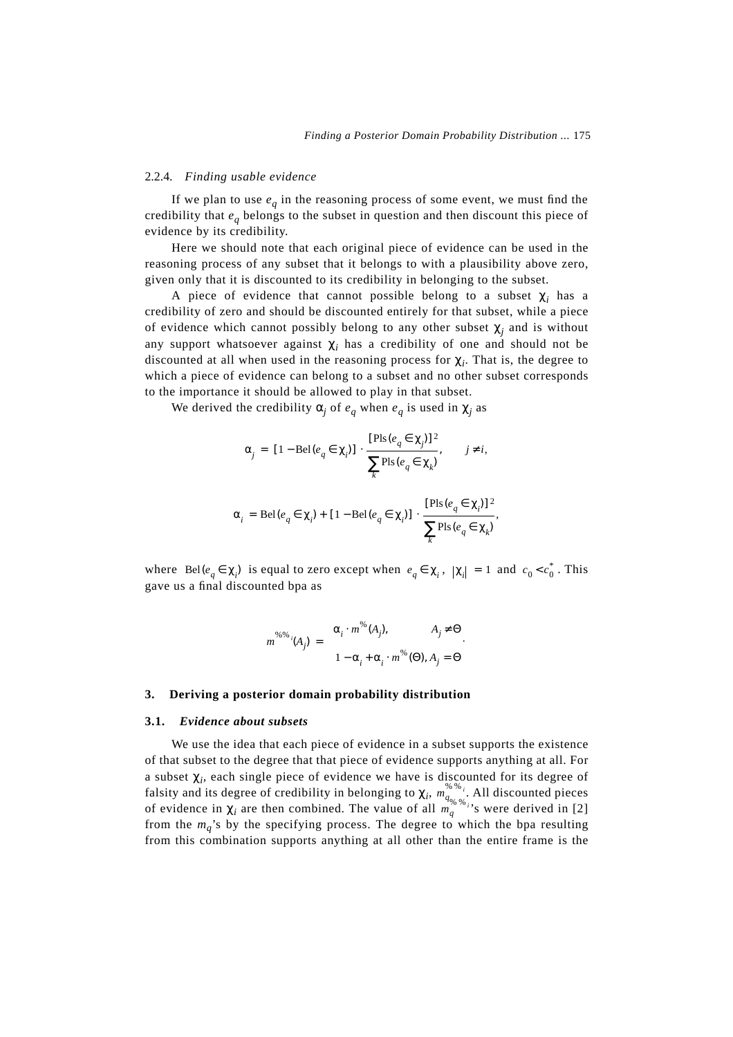#### 2.2.4. *Finding usable evidence*

If we plan to use  $e_q$  in the reasoning process of some event, we must find the credibility that *eq* belongs to the subset in question and then discount this piece of evidence by its credibility.

Here we should note that each original piece of evidence can be used in the reasoning process of any subset that it belongs to with a plausibility above zero, given only that it is discounted to its credibility in belonging to the subset.

A piece of evidence that cannot possible belong to a subset  $\chi_i$  has a credibility of zero and should be discounted entirely for that subset, while a piece of evidence which cannot possibly belong to any other subset  $\chi_j$  and is without any support whatsoever against  $\chi_i$  has a credibility of one and should not be discounted at all when used in the reasoning process for  $\chi_i$ . That is, the degree to which a piece of evidence can belong to a subset and no other subset corresponds to the importance it should be allowed to play in that subset.

We derived the credibility  $\alpha_j$  of  $e_q$  when  $e_q$  is used in  $\chi_j$  as

$$
\alpha_{j} = [1 - \text{Bel}(e_{q} \in \chi_{i})] \cdot \frac{[\text{Pls}(e_{q} \in \chi_{j})]^{2}}{\sum_{k} \text{Pls}(e_{q} \in \chi_{k})}, \quad j \neq i,
$$
  

$$
\alpha_{i} = \text{Bel}(e_{q} \in \chi_{i}) + [1 - \text{Bel}(e_{q} \in \chi_{i})] \cdot \frac{[\text{Pls}(e_{q} \in \chi_{i})]^{2}}{\sum_{k} \text{Pls}(e_{q} \in \chi_{k})},
$$

where Bel( $e_q \in \chi_i$ ) is equal to zero except when  $e_q \in \chi_i$ ,  $|\chi_i| = 1$  and  $c_0 < c_0^*$ . This gave us a final discounted bpa as

$$
m^{\% \%}\,{}^{i}(A_{j})\,=\,\, \begin{cases}\alpha_{i}\cdot m^{\%}(A_{j}), & A_{j}\neq \Theta \\ \\ 1-\alpha_{i}+\alpha_{i}\cdot m^{\%}(\Theta), A_{j}=\Theta\end{cases}.
$$

# **3. Deriving a posterior domain probability distribution**

#### **3.1.** *Evidence about subsets*

We use the idea that each piece of evidence in a subset supports the existence of that subset to the degree that that piece of evidence supports anything at all. For a subset  $\chi_i$ , each single piece of evidence we have is discounted for its degree of falsity and its degree of credibility in belonging to  $\chi_i$ ,  $m_{q_{\text{av}}\alpha}^{\alpha}$ . All discounted pieces of evidence in  $\chi_i$  are then combined. The value of all  $m_q^{\omega_{i}}$ 's were derived in [2] from the *mq*'s by the specifying process. The degree to which the bpa resulting from this combination supports anything at all other than the entire frame is the  $m_{q_{\alpha}q_{\alpha}}^{\%}$ % *i mq* % % *<sup>i</sup>*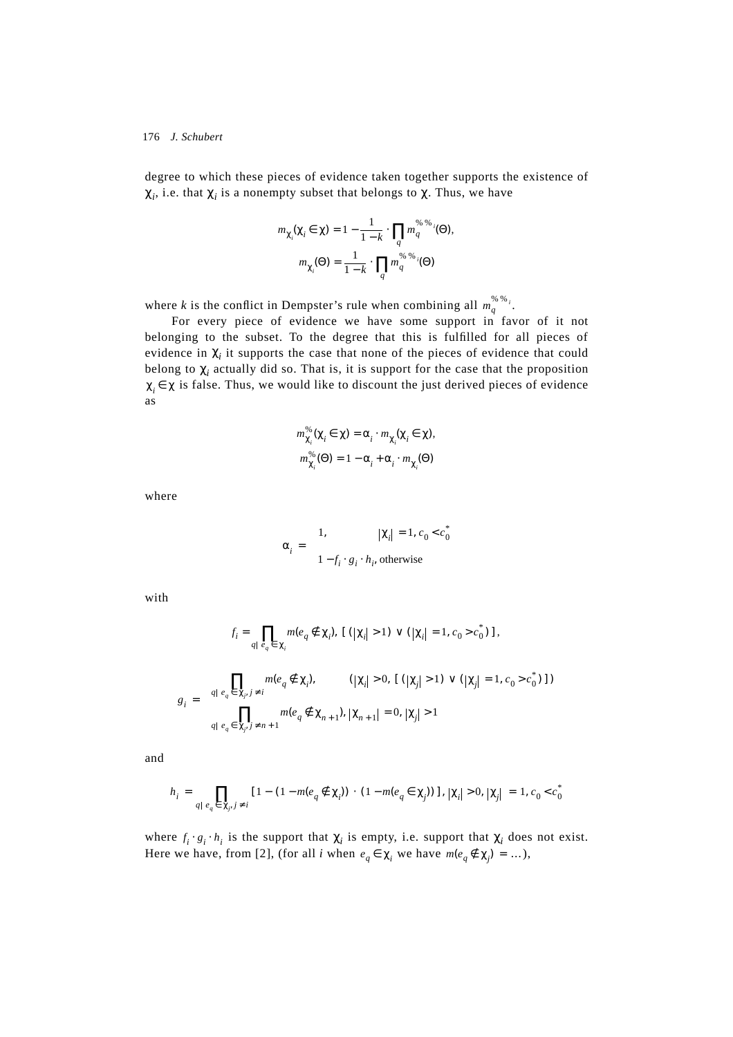degree to which these pieces of evidence taken together supports the existence of  $\chi_i$ , i.e. that  $\chi_i$  is a nonempty subset that belongs to  $\chi$ . Thus, we have

$$
m_{\chi_i}(\chi_i \in \chi) = 1 - \frac{1}{1 - k} \cdot \prod_q m_q^{\frac{\%}{\theta_0} \frac{\kappa}{\theta_0}}(\Theta),
$$

$$
m_{\chi_i}(\Theta) = \frac{1}{1 - k} \cdot \prod_q m_q^{\frac{\%}{\theta_0} \frac{\kappa}{\theta_0}}(\Theta)
$$

where *k* is the conflict in Dempster's rule when combining all  $m_q^{\frac{96}{96}i}$ .

For every piece of evidence we have some support in favor of it not belonging to the subset. To the degree that this is fulfilled for all pieces of evidence in  $\chi_i$  it supports the case that none of the pieces of evidence that could belong to  $\chi_i$  actually did so. That is, it is support for the case that the proposition is false. Thus, we would like to discount the just derived pieces of evidence χ*<sup>i</sup>* ∈ χ as

$$
m_{\chi_i}^{\%}(\chi_i \in \chi) = \alpha_i \cdot m_{\chi_i}(\chi_i \in \chi),
$$
  

$$
m_{\chi_i}^{\%}(\Theta) = 1 - \alpha_i + \alpha_i \cdot m_{\chi_i}(\Theta)
$$

where

$$
\alpha_i = \begin{cases} 1, & |\chi_i| = 1, c_0 < c_0^* \\ 1 - f_i \cdot g_i \cdot h_i, & \text{otherwise} \end{cases}
$$

with

$$
f_i = \prod_{q \mid e_q \in \chi_i} m(e_q \notin \chi_i), \ [(\lvert \chi_i \rvert > 1) \lor (\lvert \chi_i \rvert = 1, c_0 > c_0^*)],
$$
  

$$
g_i = \begin{cases} \prod_{q \mid e_q \in \chi_j, j \neq i} m(e_q \notin \chi_i), & (\lvert \chi_i \rvert > 0, \ [(\lvert \chi_j \rvert > 1) \lor (\lvert \chi_j \rvert = 1, c_0 > c_0^*)]) \\ \prod_{q \mid e_q \in \chi_j, j \neq n+1} m(e_q \notin \chi_{n+1}), \lvert \chi_{n+1} \rvert = 0, \lvert \chi_j \rvert > 1 \end{cases}
$$

and

$$
h_i = \prod_{q \mid e_q \in \chi_j, j \neq i} [1 - (1 - m(e_q \notin \chi_i)) \cdot (1 - m(e_q \in \chi_j))], |\chi_i| > 0, |\chi_j| = 1, c_0 < c_0^*
$$

where  $f_i \cdot g_i \cdot h_i$  is the support that  $\chi_i$  is empty, i.e. support that  $\chi_i$  does not exist. Here we have, from [2], (for all *i* when  $e_q \in \chi_i$  we have  $m(e_q \notin \chi_j) = ...$ ),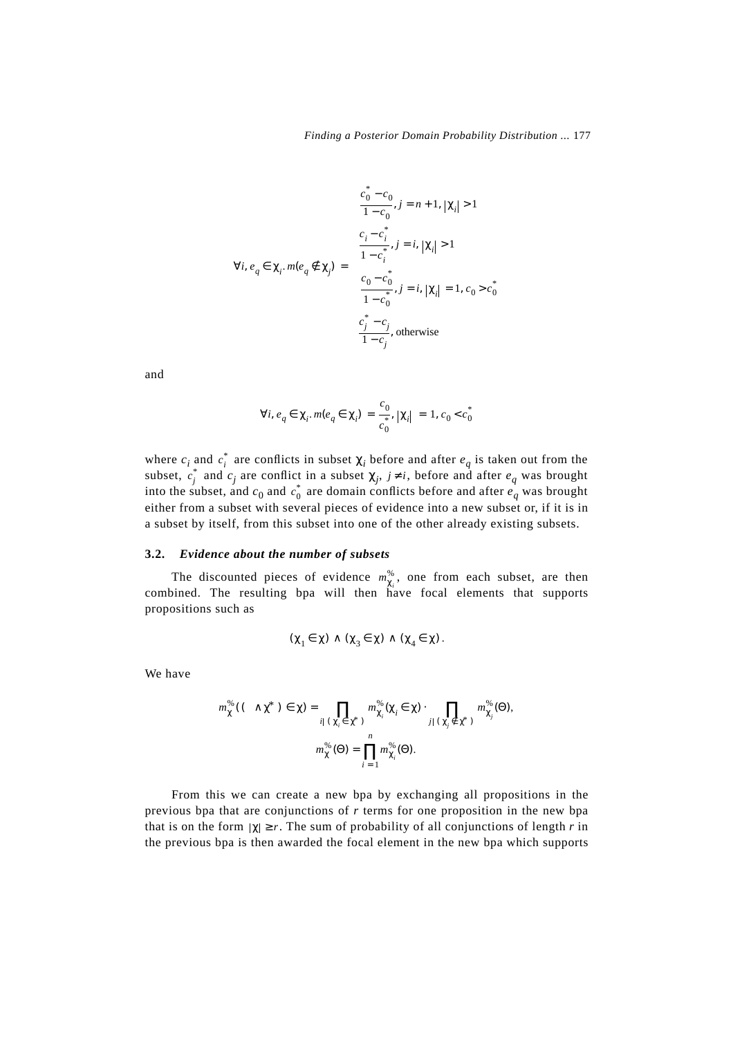$$
\forall i, e_q \in \chi_i \text{, } m(e_q \notin \chi_j) = \begin{cases} \frac{c_0^* - c_0}{1 - c_0}, j = n + 1, |\chi_i| > 1 \\ \frac{c_i - c_i^*}{1 - c_i}, j = i, |\chi_i| > 1 \\ \frac{c_0 - c_0^*}{1 - c_0^*}, j = i, |\chi_i| = 1, c_0 > c_0^* \\ \frac{c_j^* - c_j}{1 - c_j}, \text{ otherwise} \end{cases}
$$

and

$$
\forall i, e_q \in \chi_i. m(e_q \in \chi_i) = \frac{c_0}{c_0^*}, |\chi_i| = 1, c_0 < c_0^*
$$

where  $c_i$  and  $c_i^*$  are conflicts in subset  $\chi_i$  before and after  $e_q$  is taken out from the subset,  $c_j^*$  and  $c_j$  are conflict in a subset  $\chi_j$ ,  $j \neq i$ , before and after  $e_q$  was brought into the subset, and  $c_0$  and  $c_0^*$  are domain conflicts before and after  $e_q$  was brought either from a subset with several pieces of evidence into a new subset or, if it is in a subset by itself, from this subset into one of the other already existing subsets.

# **3.2.** *Evidence about the number of subsets*

The discounted pieces of evidence  $m_{\chi_i}^{\%}$ , one from each subset, are then combined. The resulting bpa will then have focal elements that supports propositions such as

$$
(\chi_1 \in \chi) \wedge (\chi_3 \in \chi) \wedge (\chi_4 \in \chi).
$$

We have

$$
m_{\chi}^{\%}((\wedge\chi^*)\in\chi)=\prod_{i|\;(\;\chi_i\in\;\chi^*)}m_{\chi_i}^{\%}(\chi_i\in\chi)\cdot\prod_{j|\;(\;\chi_j\notin\;\chi^*)}m_{\chi_j}^{\%}(\Theta),
$$

$$
m_{\chi}^{\%}(\Theta)=\prod_{i=1}^nm_{\chi_i}^{\%}(\Theta).
$$

From this we can create a new bpa by exchanging all propositions in the previous bpa that are conjunctions of *r* terms for one proposition in the new bpa that is on the form  $|\chi| \ge r$ . The sum of probability of all conjunctions of length *r* in the previous bpa is then awarded the focal element in the new bpa which supports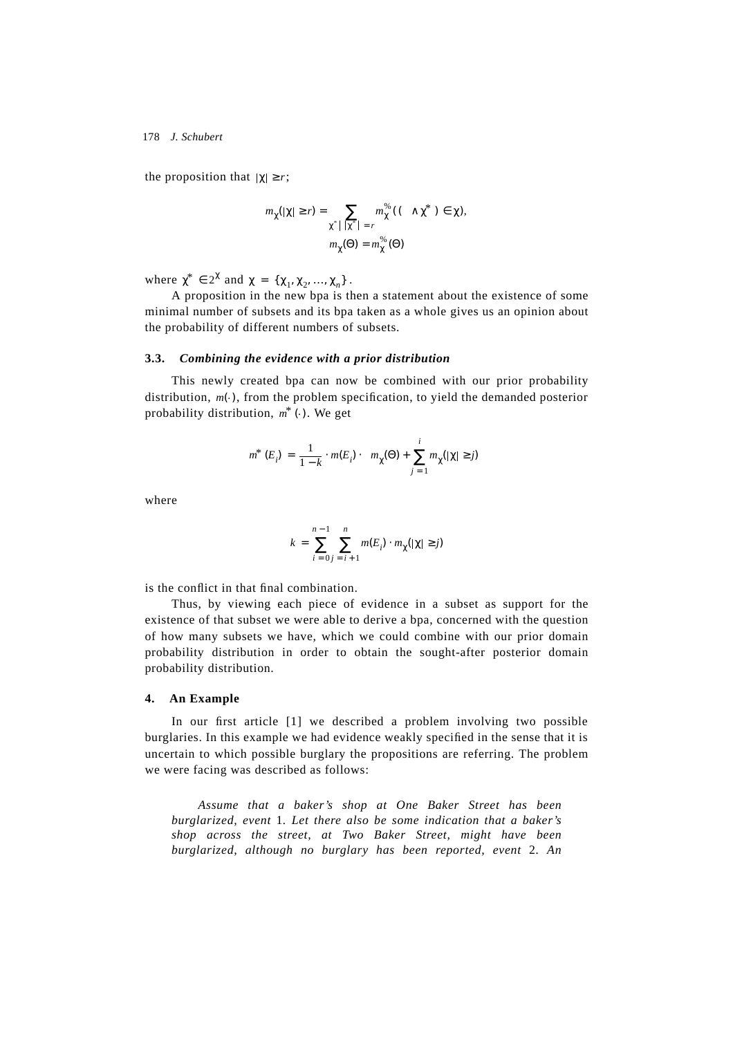the proposition that  $|\chi| \ge r$ ;

$$
m_{\chi}(|\chi| \ge r) = \sum_{\substack{\chi^* \mid |\chi^*| = r}} m_{\chi}^{\mathcal{P}_0}((\Lambda \chi^*) \in \chi),
$$
  

$$
m_{\chi}(\Theta) = m_{\chi}^{\mathcal{P}_0}(\Theta)
$$

where  $\chi^* \in 2^{\chi}$  and  $\chi = {\chi_1, \chi_2, ..., \chi_n}$ .

A proposition in the new bpa is then a statement about the existence of some minimal number of subsets and its bpa taken as a whole gives us an opinion about the probability of different numbers of subsets.

### **3.3.** *Combining the evidence with a prior distribution*

This newly created bpa can now be combined with our prior probability distribution,  $m(\cdot)$ , from the problem specification, to yield the demanded posterior probability distribution,  $m^*$  (.). We get

$$
m^{\ast}(E_i) = \frac{1}{1-k} \cdot m(E_i) \cdot \left( m_{\chi}(\Theta) + \sum_{j=1}^{i} m_{\chi}(|\chi| \ge j) \right)
$$

where

$$
k = \sum_{i=0}^{n-1} \sum_{j=i+1}^{n} m(E_i) \cdot m_{\chi}(|\chi| \ge j)
$$

is the conflict in that final combination.

Thus, by viewing each piece of evidence in a subset as support for the existence of that subset we were able to derive a bpa, concerned with the question of how many subsets we have, which we could combine with our prior domain probability distribution in order to obtain the sought-after posterior domain probability distribution.

# **4. An Example**

In our first article [1] we described a problem involving two possible burglaries. In this example we had evidence weakly specified in the sense that it is uncertain to which possible burglary the propositions are referring. The problem we were facing was described as follows:

*Assume that a baker's shop at One Baker Street has been burglarized, event* 1*. Let there also be some indication that a baker's shop across the street, at Two Baker Street, might have been burglarized, although no burglary has been reported, event* 2*. An*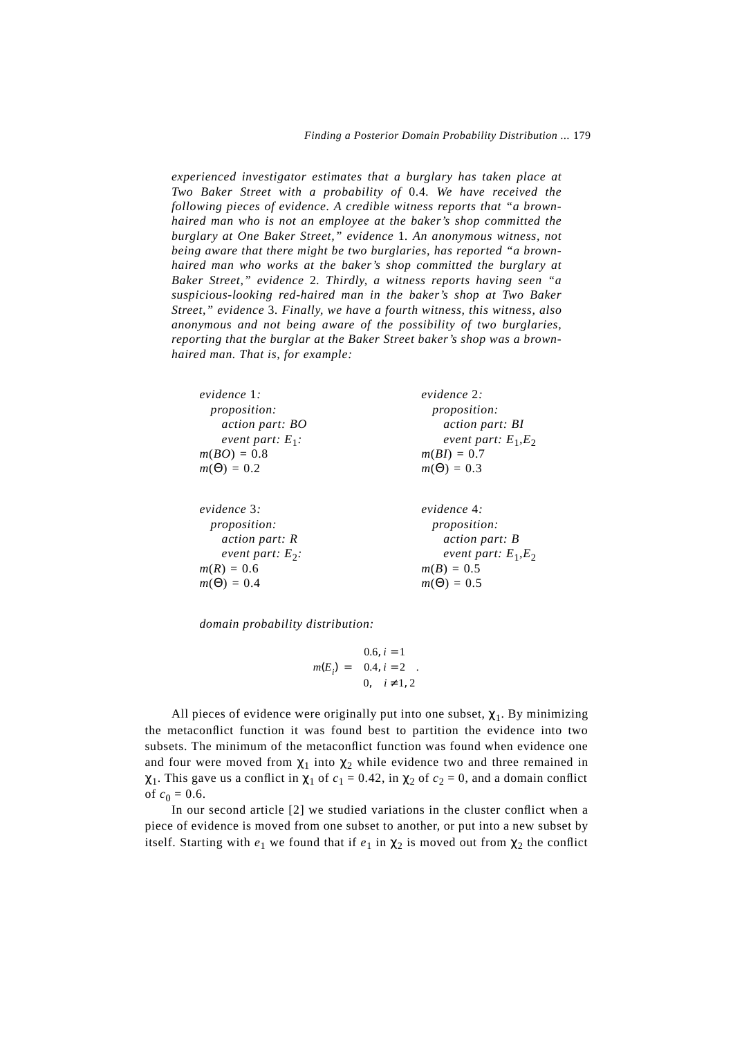*experienced investigator estimates that a burglary has taken place at Two Baker Street with a probability of* 0.4*. We have received the following pieces of evidence. A credible witness reports that "a brownhaired man who is not an employee at the baker's shop committed the burglary at One Baker Street," evidence* 1*. An anonymous witness, not being aware that there might be two burglaries, has reported "a brownhaired man who works at the baker's shop committed the burglary at Baker Street," evidence* 2*. Thirdly, a witness reports having seen "a suspicious-looking red-haired man in the baker's shop at Two Baker Street," evidence* 3*. Finally, we have a fourth witness, this witness, also anonymous and not being aware of the possibility of two burglaries, reporting that the burglar at the Baker Street baker's shop was a brownhaired man. That is, for example:*

| evidence 1:         | evidence 2:            |
|---------------------|------------------------|
| <i>proposition:</i> | <i>proposition:</i>    |
| action part: BO     | action part: BI        |
| event part: $E_1$ : | event part: $E_1, E_2$ |
| $m(BO) = 0.8$       | $m(BI) = 0.7$          |
| $m(\Theta) = 0.2$   | $m(\Theta) = 0.3$      |
|                     |                        |
| evidence 3:         | evidence 4:            |
| <i>proposition:</i> | <i>proposition:</i>    |
| action part: R      | <i>action part: B</i>  |
| event part: $E_2$ : | event part: $E_1, E_2$ |
| $m(R) = 0.6$        | $m(B) = 0.5$           |
| $m(\Theta) = 0.4$   | $m(\Theta) = 0.5$      |

*domain probability distribution:*

 $m(E_i)$  $0.6, i = 1$  $0.4, i = 2$  $\iota_0, i \neq 1, 2$  $= \begin{cases} 0.0, i = 1 \\ 0.4, i = 2 \end{cases}$ .

All pieces of evidence were originally put into one subset,  $\chi_1$ . By minimizing the metaconflict function it was found best to partition the evidence into two subsets. The minimum of the metaconflict function was found when evidence one and four were moved from  $\chi_1$  into  $\chi_2$  while evidence two and three remained in  $\chi_1$ . This gave us a conflict in  $\chi_1$  of  $c_1 = 0.42$ , in  $\chi_2$  of  $c_2 = 0$ , and a domain conflict of  $c_0 = 0.6$ .

In our second article [2] we studied variations in the cluster conflict when a piece of evidence is moved from one subset to another, or put into a new subset by itself. Starting with  $e_1$  we found that if  $e_1$  in  $\chi_2$  is moved out from  $\chi_2$  the conflict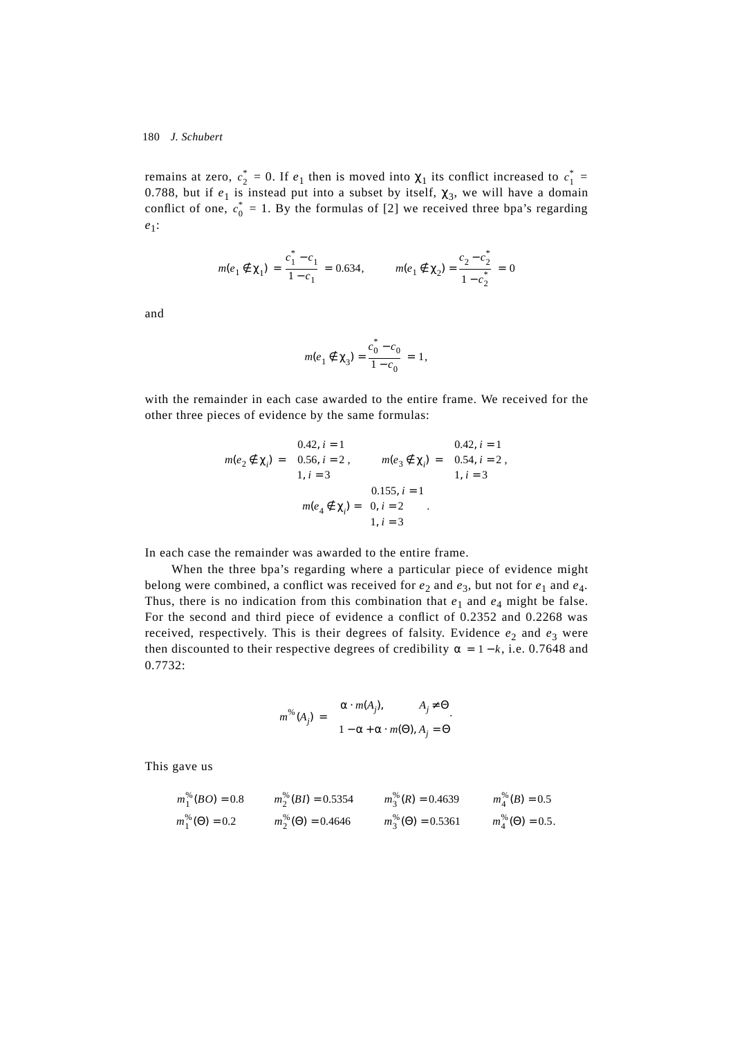remains at zero,  $c_2^* = 0$ . If  $e_1$  then is moved into  $\chi_1$  its conflict increased to  $c_1^* =$ 0.788, but if  $e_1$  is instead put into a subset by itself,  $\chi_3$ , we will have a domain conflict of one,  $c_0^* = 1$ . By the formulas of [2] we received three bpa's regarding *e*1:

$$
m(e_1 \notin \chi_1) = \frac{c_1^* - c_1}{1 - c_1} = 0.634, \qquad m(e_1 \notin \chi_2) = \frac{c_2 - c_2^*}{1 - c_2^*} = 0
$$

and

$$
m(e_1 \notin \chi_3) = \frac{c_0^* - c_0}{1 - c_0} = 1,
$$

with the remainder in each case awarded to the entire frame. We received for the other three pieces of evidence by the same formulas:

$$
m(e_2 \notin \chi_i) = \begin{cases} 0.42, i = 1 \\ 0.56, i = 2 \\ 1, i = 3 \end{cases} \qquad m(e_3 \notin \chi_i) = \begin{cases} 0.42, i = 1 \\ 0.54, i = 2 \\ 1, i = 3 \end{cases}
$$

$$
m(e_4 \notin \chi_i) = \begin{cases} 0.155, i = 1 \\ 0, i = 2 \\ 1, i = 3 \end{cases}
$$

In each case the remainder was awarded to the entire frame.

When the three bpa's regarding where a particular piece of evidence might belong were combined, a conflict was received for  $e_2$  and  $e_3$ , but not for  $e_1$  and  $e_4$ . Thus, there is no indication from this combination that  $e_1$  and  $e_4$  might be false. For the second and third piece of evidence a conflict of 0.2352 and 0.2268 was received, respectively. This is their degrees of falsity. Evidence  $e_2$  and  $e_3$  were then discounted to their respective degrees of credibility  $\alpha = 1 - k$ , i.e. 0.7648 and 0.7732:

$$
m^{\mathcal{H}}(A_j) = \begin{cases} \alpha \cdot m(A_j), & A_j \neq \Theta \\ 1 - \alpha + \alpha \cdot m(\Theta), A_j = \Theta \end{cases}
$$

This gave us

$$
m_1^{\%}(BO) = 0.8 \qquad m_2^{\%}(BI) = 0.5354 \qquad m_3^{\%}(R) = 0.4639 \qquad m_4^{\%}(B) = 0.5
$$
  

$$
m_1^{\%}(\Theta) = 0.2 \qquad m_2^{\%}(\Theta) = 0.4646 \qquad m_3^{\%}(\Theta) = 0.5361 \qquad m_4^{\%}(\Theta) = 0.5.
$$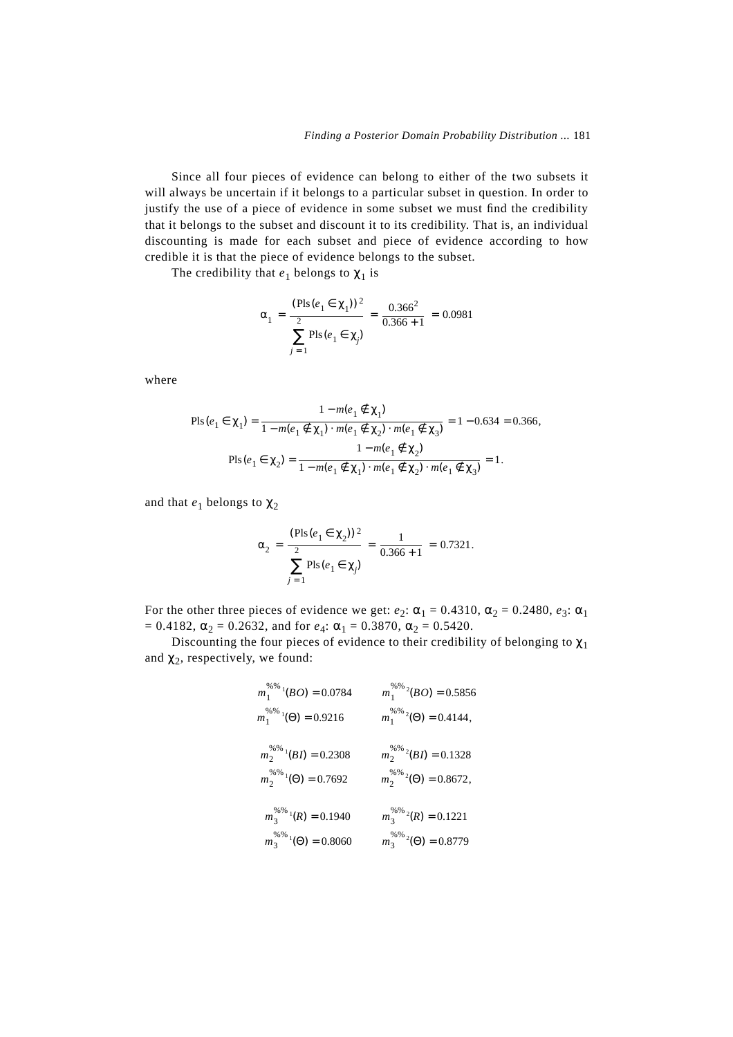Since all four pieces of evidence can belong to either of the two subsets it will always be uncertain if it belongs to a particular subset in question. In order to justify the use of a piece of evidence in some subset we must find the credibility that it belongs to the subset and discount it to its credibility. That is, an individual discounting is made for each subset and piece of evidence according to how credible it is that the piece of evidence belongs to the subset.

The credibility that  $e_1$  belongs to  $\chi_1$  is

$$
\alpha_1 = \frac{(\text{Pls}(e_1 \in \chi_1))^2}{\sum_{j=1}^{2} \text{Pls}(e_1 \in \chi_j)} = \frac{0.366^2}{0.366 + 1} = 0.0981
$$

where

$$
\text{Pls}(e_1 \in \chi_1) = \frac{1 - m(e_1 \notin \chi_1)}{1 - m(e_1 \notin \chi_1) \cdot m(e_1 \notin \chi_2) \cdot m(e_1 \notin \chi_3)} = 1 - 0.634 = 0.366,
$$
\n
$$
\text{Pls}(e_1 \in \chi_2) = \frac{1 - m(e_1 \notin \chi_2)}{1 - m(e_1 \notin \chi_1) \cdot m(e_1 \notin \chi_2) \cdot m(e_1 \notin \chi_3)} = 1.
$$

and that  $e_1$  belongs to  $\chi_2$ 

$$
\alpha_2 = \frac{(\text{Pls}(e_1 \in \chi_2))^2}{\sum_{j=1}^2 \text{Pls}(e_1 \in \chi_j)} = \frac{1}{0.366 + 1} = 0.7321.
$$

For the other three pieces of evidence we get:  $e_2$ :  $\alpha_1 = 0.4310$ ,  $\alpha_2 = 0.2480$ ,  $e_3$ :  $\alpha_1$ = 0.4182,  $\alpha_2$  = 0.2632, and for  $e_4$ :  $\alpha_1$  = 0.3870,  $\alpha_2$  = 0.5420.

Discounting the four pieces of evidence to their credibility of belonging to  $\chi_1$ and  $\chi_2$ , respectively, we found:

$$
m_1^{\frac{96\%}{1}}(BO) = 0.0784
$$
  
\n
$$
m_1^{\frac{96\%}{1}}(O) = 0.9216
$$
  
\n
$$
m_1^{\frac{96\%}{1}}(O) = 0.9216
$$
  
\n
$$
m_2^{\frac{96\%}{1}}(B) = 0.2308
$$
  
\n
$$
m_2^{\frac{96\%}{1}}(O) = 0.7692
$$
  
\n
$$
m_3^{\frac{96\%}{1}}(R) = 0.1940
$$
  
\n
$$
m_3^{\frac{96\%}{1}}(O) = 0.8672,
$$
  
\n
$$
m_3^{\frac{96\%}{1}}(O) = 0.8060
$$
  
\n
$$
m_3^{\frac{96\%}{2}}(O) = 0.8779
$$
  
\n
$$
m_3^{\frac{96\%}{2}}(O) = 0.8779
$$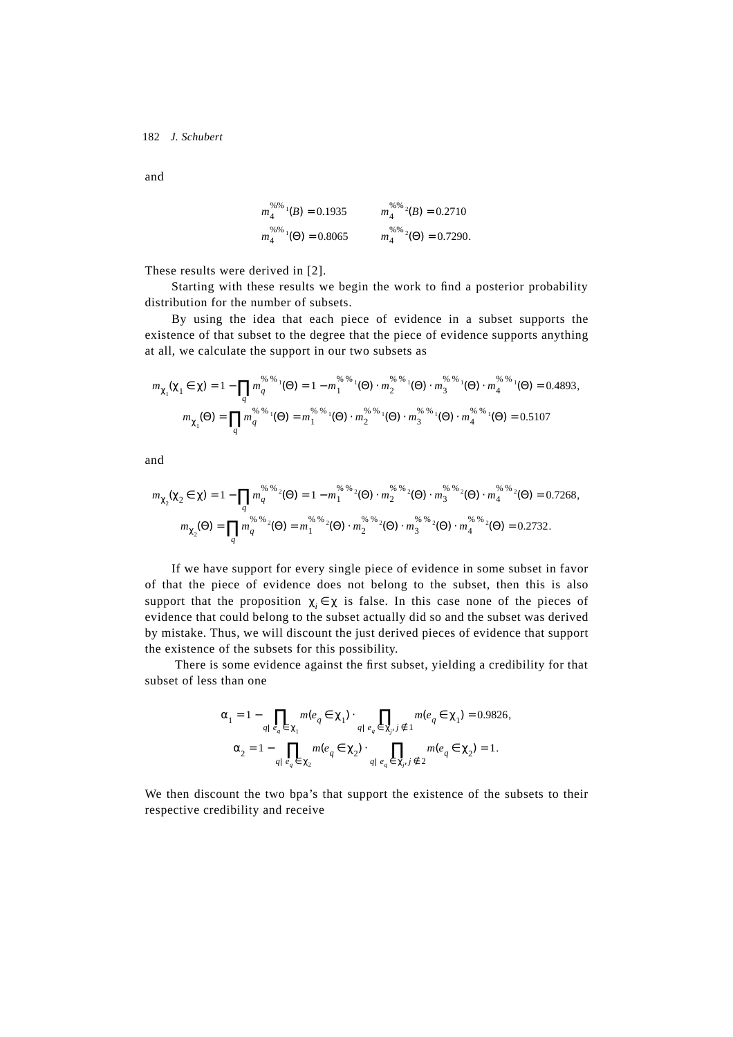and

$$
m_4^{\% \% 1}(B) = 0.1935 \t m_4^{\% \% 2}(B) = 0.2710
$$
  

$$
m_4^{\% \% 1}(\Theta) = 0.8065 \t m_4^{\% \% 2}(\Theta) = 0.7290.
$$

These results were derived in [2].

Starting with these results we begin the work to find a posterior probability distribution for the number of subsets.

By using the idea that each piece of evidence in a subset supports the existence of that subset to the degree that the piece of evidence supports anything at all, we calculate the support in our two subsets as

$$
m_{\chi_1}(\chi_1 \in \chi) = 1 - \prod_q m_q^{\frac{\%}{\theta_0} \frac{\%}{1}}(\Theta) = 1 - m_1^{\frac{\%}{\theta_0} \frac{\%}{1}}(\Theta) \cdot m_2^{\frac{\%}{\theta_0} \frac{\%}{1}}(\Theta) \cdot m_3^{\frac{\%}{\theta_0} \frac{\%}{1}}(\Theta) \cdot m_4^{\frac{\%}{\theta_0} \frac{\%}{1}}(\Theta) = 0.4893,
$$
  

$$
m_{\chi_1}(\Theta) = \prod_q m_q^{\frac{\%}{\theta_0} \frac{\%}{1}}(\Theta) = m_1^{\frac{\%}{\theta_0} \frac{\%}{1}}(\Theta) \cdot m_2^{\frac{\%}{\theta_0} \frac{\%}{1}}(\Theta) \cdot m_3^{\frac{\%}{\theta_0} \frac{\%}{1}}(\Theta) \cdot m_4^{\frac{\%}{\theta_0} \frac{\%}{1}}(\Theta) = 0.5107
$$

and

$$
m_{\chi_2}(\chi_2 \in \chi) = 1 - \prod_q m_q^{\frac{96}{96} \cdot \frac{96}{2}}(\Theta) = 1 - m_1^{\frac{96}{96} \cdot \frac{96}{2}}(\Theta) \cdot m_2^{\frac{96}{96} \cdot \frac{96}{2}}(\Theta) \cdot m_3^{\frac{96}{96} \cdot \frac{96}{2}}(\Theta) \cdot m_4^{\frac{96}{96} \cdot \frac{96}{2}}(\Theta) = 0.7268,
$$
  

$$
m_{\chi_2}(\Theta) = \prod_q m_q^{\frac{96}{96} \cdot \frac{96}{2}}(\Theta) = m_1^{\frac{96}{96} \cdot \frac{96}{2}}(\Theta) \cdot m_2^{\frac{96}{96} \cdot \frac{96}{2}}(\Theta) \cdot m_3^{\frac{96}{96} \cdot \frac{96}{2}}(\Theta) \cdot m_4^{\frac{96}{96} \cdot \frac{96}{2}}(\Theta) = 0.2732.
$$

If we have support for every single piece of evidence in some subset in favor of that the piece of evidence does not belong to the subset, then this is also support that the proposition  $\chi_i \in \chi$  is false. In this case none of the pieces of evidence that could belong to the subset actually did so and the subset was derived by mistake. Thus, we will discount the just derived pieces of evidence that support the existence of the subsets for this possibility.

 There is some evidence against the first subset, yielding a credibility for that subset of less than one

$$
\begin{aligned} \alpha_1&=1-\prod_{q\mid\;e_q\,\in\;\chi_1}m(e_q\in\chi_1)\cdot\prod_{q\mid\;e_q\,\in\;\chi_p\,j\,\notin\;1}m(e_q\in\chi_1)=0.9826,\\ \alpha_2&=1-\prod_{q\mid\;e_q\,\in\;\chi_2}m(e_q\in\chi_2)\cdot\prod_{q\mid\;e_q\,\in\;\chi_p\,j\,\notin\;2}m(e_q\in\chi_2)=1. \end{aligned}
$$

We then discount the two bpa's that support the existence of the subsets to their respective credibility and receive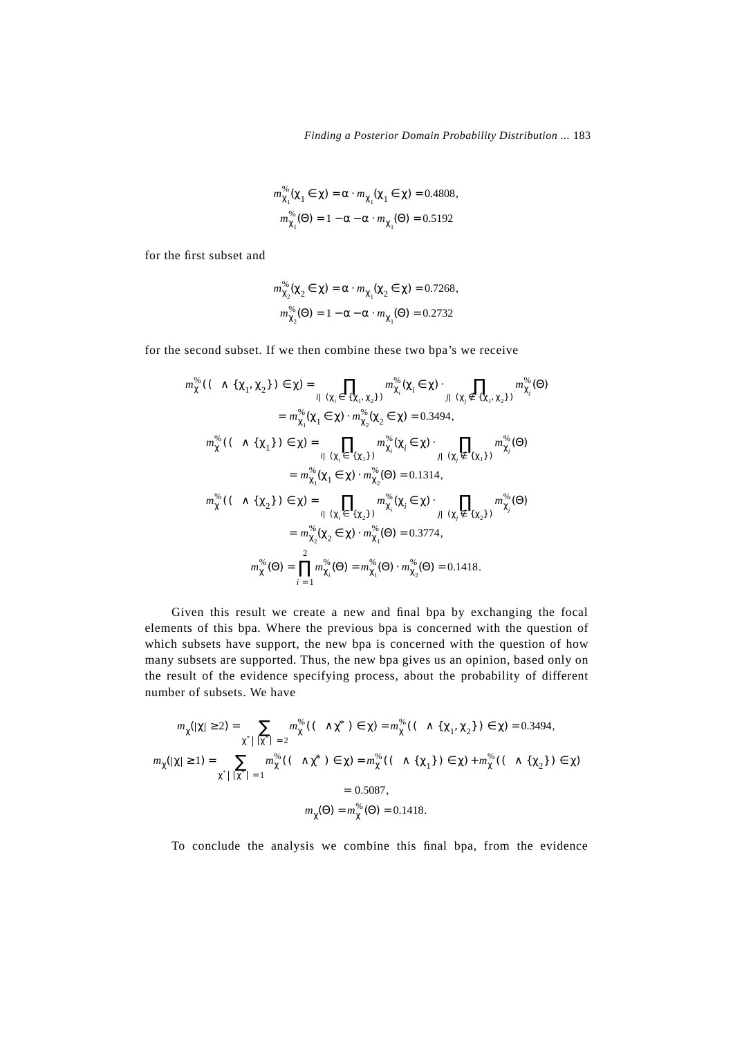$$
m_{\chi_1}^{\%}(\chi_1 \in \chi) = \alpha \cdot m_{\chi_1}(\chi_1 \in \chi) = 0.4808,
$$
  

$$
m_{\chi_1}^{\%}(\Theta) = 1 - \alpha - \alpha \cdot m_{\chi_1}(\Theta) = 0.5192
$$

for the first subset and

$$
m_{\chi_2}^{\%}(\chi_2 \in \chi) = \alpha \cdot m_{\chi_1}(\chi_2 \in \chi) = 0.7268,
$$
  

$$
m_{\chi_2}^{\%}(\Theta) = 1 - \alpha - \alpha \cdot m_{\chi_1}(\Theta) = 0.2732
$$

for the second subset. If we then combine these two bpa's we receive

$$
m_{\chi}^{\%}(( \wedge \{ \chi_{1}, \chi_{2} \}) \in \chi) = \prod_{i | (\chi_{i} \in \{ \chi_{1}, \chi_{2} \})} m_{\chi_{i}}^{\%}(\chi_{i} \in \chi) \cdot \prod_{j | (\chi_{j} \notin \{ \chi_{1}, \chi_{2} \})} m_{\chi_{j}}^{\%}(\Theta)
$$
  
\n
$$
= m_{\chi_{1}}^{\%}(\chi_{1} \in \chi) \cdot m_{\chi_{2}}^{\%}(\chi_{2} \in \chi) = 0.3494,
$$
  
\n
$$
m_{\chi}^{\%}(( \wedge \{ \chi_{1} \}) \in \chi) = \prod_{i | (\chi_{i} \in \{ \chi_{1} \})} m_{\chi_{i}}^{\%}(\chi_{i} \in \chi) \cdot \prod_{j | (\chi_{j} \notin \{ \chi_{1} \})} m_{\chi_{j}}^{\%}(\Theta)
$$
  
\n
$$
= m_{\chi_{1}}^{\%}(\chi_{1} \in \chi) \cdot m_{\chi_{2}}^{\%}(\Theta) = 0.1314,
$$
  
\n
$$
m_{\chi}^{\%}(( \wedge \{\chi_{2} \}) \in \chi) = \prod_{i | (\chi_{i} \in \{\chi_{2} \})} m_{\chi_{i}}^{\%}(\chi_{i} \in \chi) \cdot \prod_{j | (\chi_{j} \notin \{\chi_{2} \})} m_{\chi_{j}}^{\%}(\Theta)
$$
  
\n
$$
= m_{\chi_{2}}^{\%}(\chi_{2} \in \chi) \cdot m_{\chi_{1}}^{\%}(\Theta) = 0.3774,
$$
  
\n
$$
m_{\chi}^{\%}(\Theta) = \prod_{i=1}^{2} m_{\chi_{i}}^{\%}(\Theta) = m_{\chi_{1}}^{\%}(\Theta) \cdot m_{\chi_{2}}^{\%}(\Theta) = 0.1418.
$$

Given this result we create a new and final bpa by exchanging the focal elements of this bpa. Where the previous bpa is concerned with the question of which subsets have support, the new bpa is concerned with the question of how many subsets are supported. Thus, the new bpa gives us an opinion, based only on the result of the evidence specifying process, about the probability of different number of subsets. We have

$$
m_{\chi}(|\chi| \ge 2) = \sum_{\chi^* \mid |\chi^*| = 2} m_{\chi}^{\%}((\Lambda \chi^*) \in \chi) = m_{\chi}^{\%}((\Lambda \{\chi_1, \chi_2\}) \in \chi) = 0.3494,
$$
  

$$
m_{\chi}(|\chi| \ge 1) = \sum_{\chi^* \mid |\chi^*| = 1} m_{\chi}^{\%}((\Lambda \chi^*) \in \chi) = m_{\chi}^{\%}((\Lambda \{\chi_1\}) \in \chi) + m_{\chi}^{\%}((\Lambda \{\chi_2\}) \in \chi)
$$
  

$$
= 0.5087,
$$
  

$$
m_{\chi}(\Theta) = m_{\chi}^{\%}(\Theta) = 0.1418.
$$

To conclude the analysis we combine this final bpa, from the evidence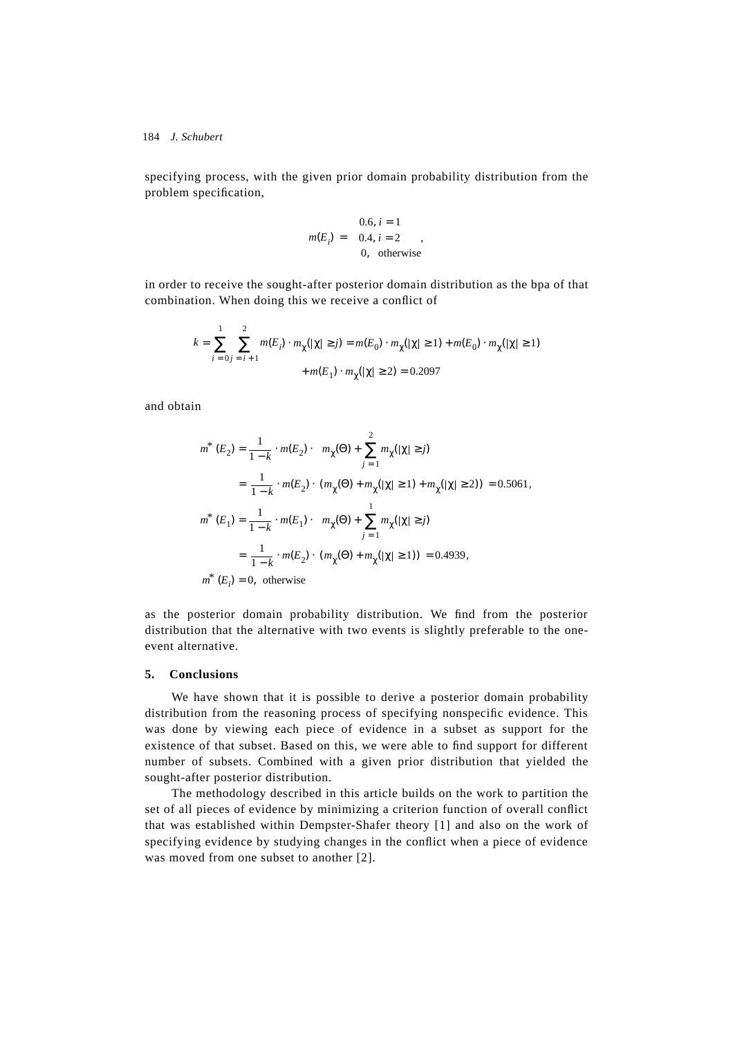specifying process, with the given prior domain probability distribution from the problem specification,

$$
m(E_i) = \begin{cases} 0.6, i = 1 \\ 0.4, i = 2 \\ 0, \text{ otherwise} \end{cases}
$$

in order to receive the sought-after posterior domain distribution as the bpa of that combination. When doing this we receive a conflict of

$$
k = \sum_{i=0}^{1} \sum_{j=i+1}^{2} m(E_i) \cdot m_{\chi}(|\chi| \ge j) = m(E_0) \cdot m_{\chi}(|\chi| \ge 1) + m(E_0) \cdot m_{\chi}(|\chi| \ge 1)
$$
  
+  $m(E_1) \cdot m_{\chi}(|\chi| \ge 2) = 0.2097$ 

and obtain

$$
m^* (E_2) = \frac{1}{1 - k} \cdot m(E_2) \cdot \left( m_\chi(\Theta) + \sum_{j = 1}^2 m_\chi(|\chi| \ge j) \right)
$$
  
= 
$$
\frac{1}{1 - k} \cdot m(E_2) \cdot \left( m_\chi(\Theta) + m_\chi(|\chi| \ge 1) + m_\chi(|\chi| \ge 2) \right) = 0.5061,
$$
  

$$
m^* (E_1) = \frac{1}{1 - k} \cdot m(E_1) \cdot \left( m_\chi(\Theta) + \sum_{j = 1}^1 m_\chi(|\chi| \ge j) \right)
$$
  
= 
$$
\frac{1}{1 - k} \cdot m(E_2) \cdot \left( m_\chi(\Theta) + m_\chi(|\chi| \ge 1) \right) = 0.4939,
$$
  

$$
m^* (E_i) = 0, \text{ otherwise}
$$

as the posterior domain probability distribution. We find from the posterior distribution that the alternative with two events is slightly preferable to the oneevent alternative.

# **5. Conclusions**

We have shown that it is possible to derive a posterior domain probability distribution from the reasoning process of specifying nonspecific evidence. This was done by viewing each piece of evidence in a subset as support for the existence of that subset. Based on this, we were able to find support for different number of subsets. Combined with a given prior distribution that yielded the sought-after posterior distribution.

The methodology described in this article builds on the work to partition the set of all pieces of evidence by minimizing a criterion function of overall conflict that was established within Dempster-Shafer theory [1] and also on the work of specifying evidence by studying changes in the conflict when a piece of evidence was moved from one subset to another [2].